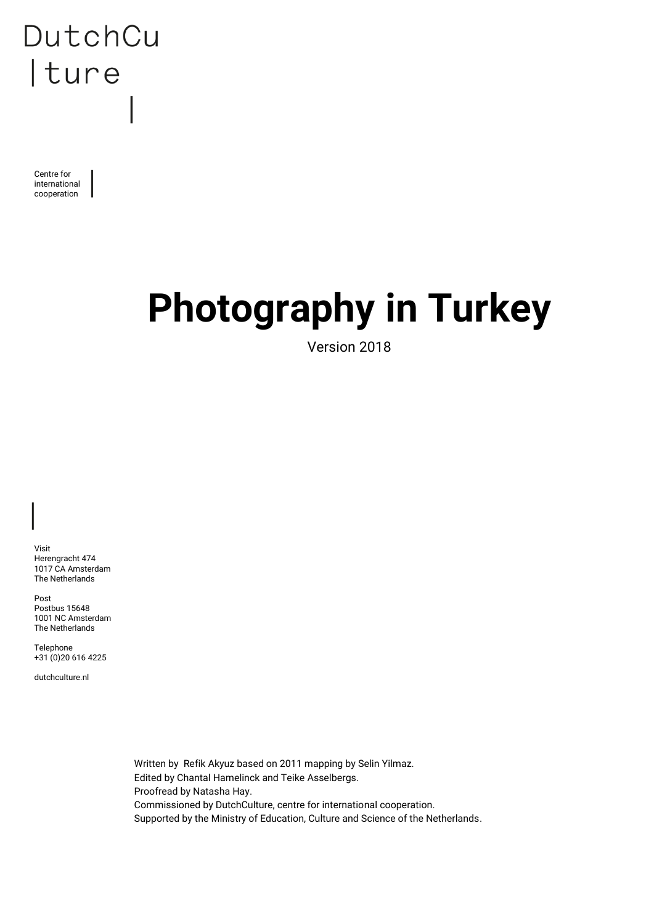Centre for international cooperation

# **Photography in Turkey**

Version 2018

Visit Herengracht 474 1017 CA Amsterdam The Netherlands

Post Postbus 15648 1001 NC Amsterdam The Netherlands

Telephone +31 (0)20 616 4225

dutchculture.nl

Written by Refik Akyuz based on 2011 mapping by Selin Yilmaz. Edited by Chantal Hamelinck and Teike Asselbergs. Proofread by Natasha Hay. Commissioned by DutchCulture, centre for international cooperation. Supported by the Ministry of Education, Culture and Science of the Netherlands.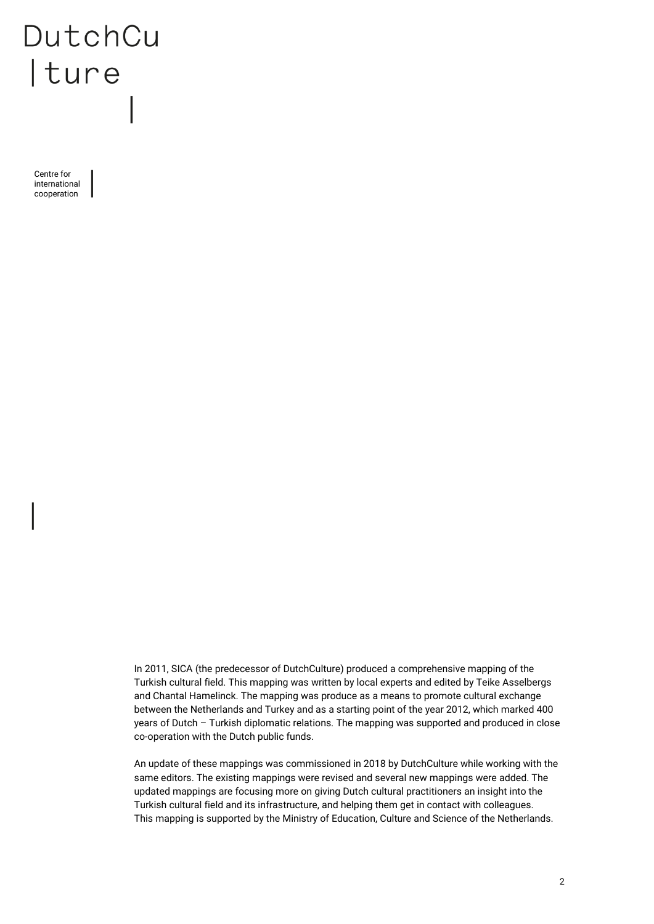Centre for international cooperation

> In 2011, SICA (the predecessor of DutchCulture) produced a comprehensive mapping of the Turkish cultural field. This mapping was written by local experts and edited by Teike Asselbergs and Chantal Hamelinck. The mapping was produce as a means to promote cultural exchange between the Netherlands and Turkey and as a starting point of the year 2012, which marked 400 years of Dutch – Turkish diplomatic relations. The mapping was supported and produced in close co-operation with the Dutch public funds.

> An update of these mappings was commissioned in 2018 by DutchCulture while working with the same editors. The existing mappings were revised and several new mappings were added. The updated mappings are focusing more on giving Dutch cultural practitioners an insight into the Turkish cultural field and its infrastructure, and helping them get in contact with colleagues. This mapping is supported by the Ministry of Education, Culture and Science of the Netherlands.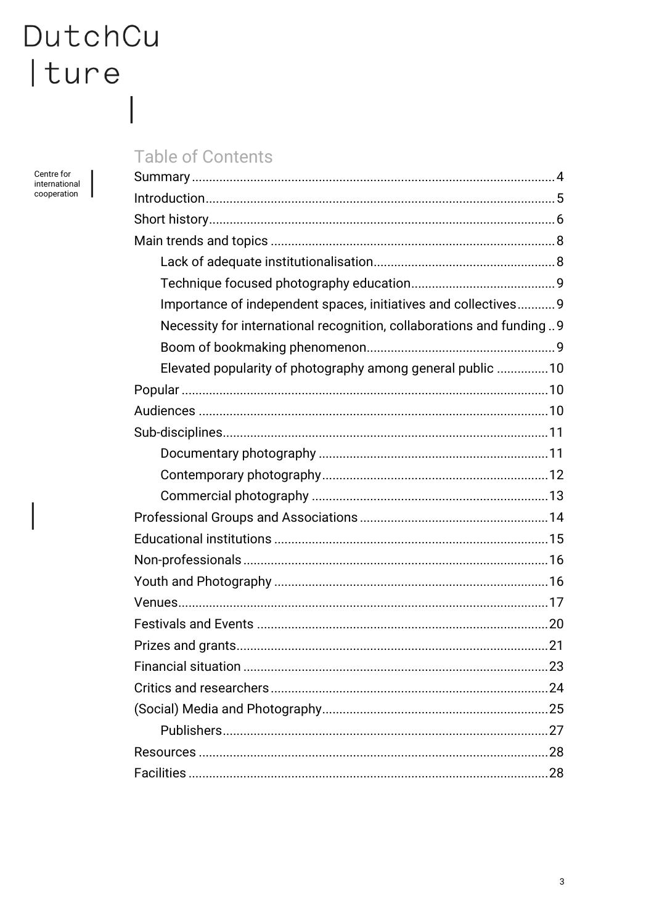J

 $\overline{\phantom{a}}$ 

Centre for<br>international cooperation

 $\overline{\phantom{a}}$ 

### **Table of Contents**

| Importance of independent spaces, initiatives and collectives 9      |
|----------------------------------------------------------------------|
| Necessity for international recognition, collaborations and funding9 |
|                                                                      |
| Elevated popularity of photography among general public  10          |
|                                                                      |
|                                                                      |
|                                                                      |
|                                                                      |
|                                                                      |
|                                                                      |
|                                                                      |
|                                                                      |
|                                                                      |
|                                                                      |
|                                                                      |
|                                                                      |
|                                                                      |
|                                                                      |
|                                                                      |
|                                                                      |
|                                                                      |
|                                                                      |
|                                                                      |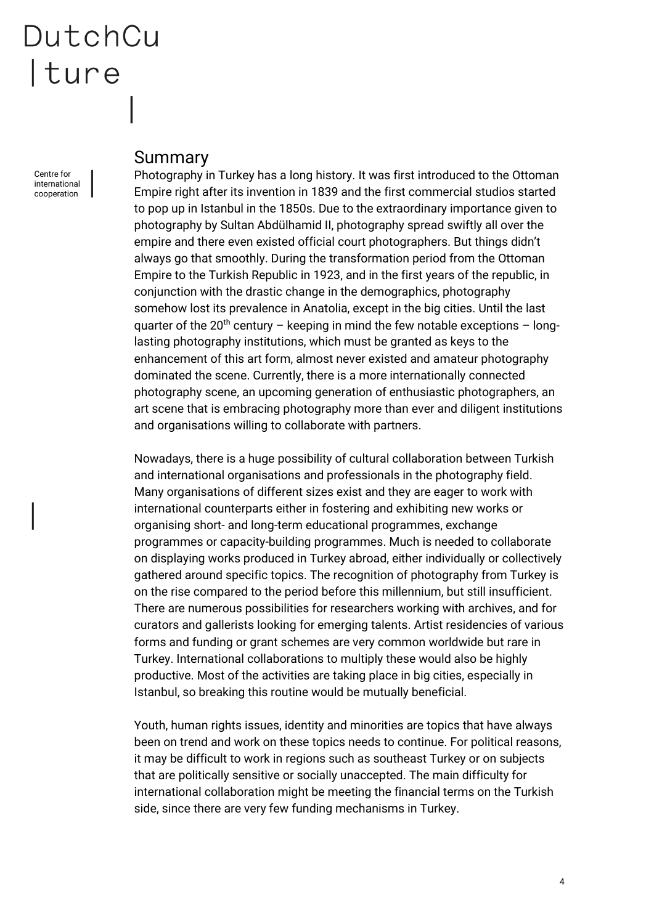Centre for international cooperation

### <span id="page-3-0"></span>Summary

Photography in Turkey has a long history. It was first introduced to the Ottoman Empire right after its invention in 1839 and the first commercial studios started to pop up in Istanbul in the 1850s. Due to the extraordinary importance given to photography by Sultan Abdülhamid II, photography spread swiftly all over the empire and there even existed official court photographers. But things didn't always go that smoothly. During the transformation period from the Ottoman Empire to the Turkish Republic in 1923, and in the first years of the republic, in conjunction with the drastic change in the demographics, photography somehow lost its prevalence in Anatolia, except in the big cities. Until the last quarter of the 20<sup>th</sup> century – keeping in mind the few notable exceptions – longlasting photography institutions, which must be granted as keys to the enhancement of this art form, almost never existed and amateur photography dominated the scene. Currently, there is a more internationally connected photography scene, an upcoming generation of enthusiastic photographers, an art scene that is embracing photography more than ever and diligent institutions and organisations willing to collaborate with partners.

Nowadays, there is a huge possibility of cultural collaboration between Turkish and international organisations and professionals in the photography field. Many organisations of different sizes exist and they are eager to work with international counterparts either in fostering and exhibiting new works or organising short- and long-term educational programmes, exchange programmes or capacity-building programmes. Much is needed to collaborate on displaying works produced in Turkey abroad, either individually or collectively gathered around specific topics. The recognition of photography from Turkey is on the rise compared to the period before this millennium, but still insufficient. There are numerous possibilities for researchers working with archives, and for curators and gallerists looking for emerging talents. Artist residencies of various forms and funding or grant schemes are very common worldwide but rare in Turkey. International collaborations to multiply these would also be highly productive. Most of the activities are taking place in big cities, especially in Istanbul, so breaking this routine would be mutually beneficial.

Youth, human rights issues, identity and minorities are topics that have always been on trend and work on these topics needs to continue. For political reasons, it may be difficult to work in regions such as southeast Turkey or on subjects that are politically sensitive or socially unaccepted. The main difficulty for international collaboration might be meeting the financial terms on the Turkish side, since there are very few funding mechanisms in Turkey.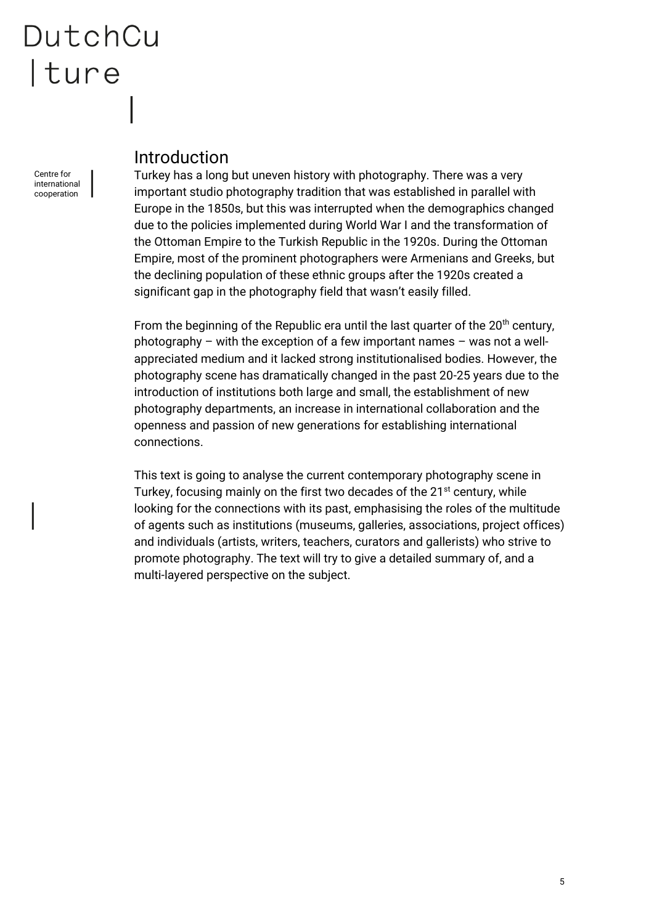Centre for international cooperation

### <span id="page-4-0"></span>Introduction

Turkey has a long but uneven history with photography. There was a very important studio photography tradition that was established in parallel with Europe in the 1850s, but this was interrupted when the demographics changed due to the policies implemented during World War I and the transformation of the Ottoman Empire to the Turkish Republic in the 1920s. During the Ottoman Empire, most of the prominent photographers were Armenians and Greeks, but the declining population of these ethnic groups after the 1920s created a significant gap in the photography field that wasn't easily filled.

From the beginning of the Republic era until the last quarter of the  $20<sup>th</sup>$  century, photography – with the exception of a few important names – was not a wellappreciated medium and it lacked strong institutionalised bodies. However, the photography scene has dramatically changed in the past 20-25 years due to the introduction of institutions both large and small, the establishment of new photography departments, an increase in international collaboration and the openness and passion of new generations for establishing international connections.

This text is going to analyse the current contemporary photography scene in Turkey, focusing mainly on the first two decades of the 21<sup>st</sup> century, while looking for the connections with its past, emphasising the roles of the multitude of agents such as institutions (museums, galleries, associations, project offices) and individuals (artists, writers, teachers, curators and gallerists) who strive to promote photography. The text will try to give a detailed summary of, and a multi-layered perspective on the subject.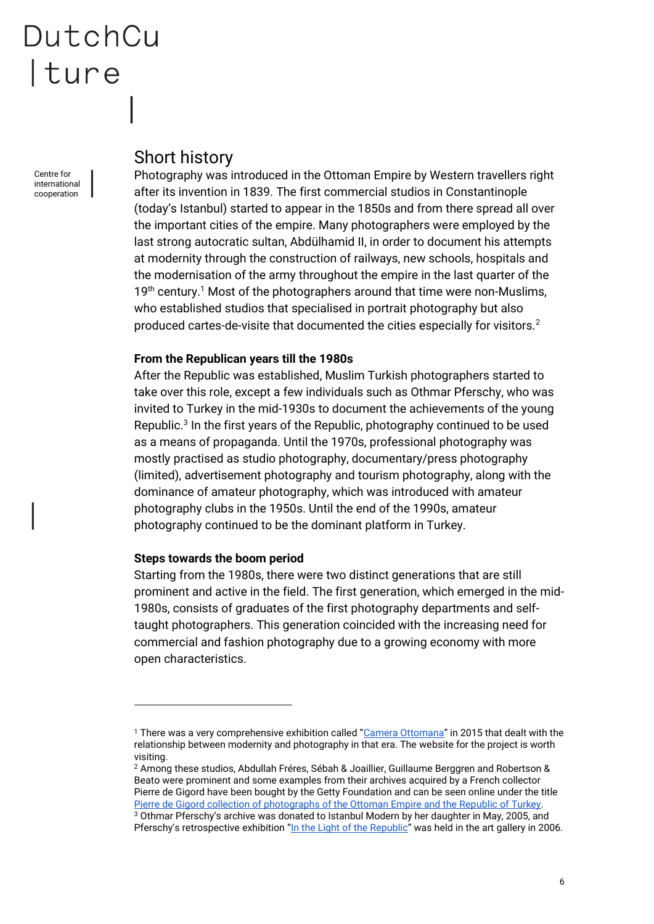Centre for international cooperation

### <span id="page-5-0"></span>Short history

Photography was introduced in the Ottoman Empire by Western travellers right after its invention in 1839. The first commercial studios in Constantinople (today's Istanbul) started to appear in the 1850s and from there spread all over the important cities of the empire. Many photographers were employed by the last strong autocratic sultan, Abdülhamid II, in order to document his attempts at modernity through the construction of railways, new schools, hospitals and the modernisation of the army throughout the empire in the last quarter of the  $19<sup>th</sup>$  century.<sup>1</sup> Most of the photographers around that time were non-Muslims, who established studios that specialised in portrait photography but also produced cartes-de-visite that documented the cities especially for visitors.<sup>2</sup>

#### **From the Republican years till the 1980s**

After the Republic was established, Muslim Turkish photographers started to take over this role, except a few individuals such as Othmar Pferschy, who was invited to Turkey in the mid-1930s to document the achievements of the young Republic.<sup>3</sup> In the first years of the Republic, photography continued to be used as a means of propaganda. Until the 1970s, professional photography was mostly practised as studio photography, documentary/press photography (limited), advertisement photography and tourism photography, along with the dominance of amateur photography, which was introduced with amateur photography clubs in the 1950s. Until the end of the 1990s, amateur photography continued to be the dominant platform in Turkey.

#### **Steps towards the boom period**

 $\overline{a}$ 

Starting from the 1980s, there were two distinct generations that are still prominent and active in the field. The first generation, which emerged in the mid-1980s, consists of graduates of the first photography departments and selftaught photographers. This generation coincided with the increasing need for commercial and fashion photography due to a growing economy with more open characteristics.

<sup>1</sup> There was a very comprehensive exhibition called "[Camera Ottomana](https://cameraottomana.ku.edu.tr/)" in 2015 that dealt with the relationship between modernity and photography in that era. The website for the project is worth visiting.

<sup>2</sup> Among these studios, Abdullah Fréres, Sébah & Joaillier, Guillaume Berggren and Robertson & Beato were prominent and some examples from their archives acquired by a French collector Pierre de Gigord have been bought by the Getty Foundation and can be seen online under the title [Pierre de Gigord collection of photographs of the Ottoman Empire and the Republic of Turkey.](https://blogs.getty.edu/iris/ottoman-era-photographs-take-on-new-meaning-in-their-digital-life/)  <sup>3</sup> Othmar Pferschy's archive was donated to Istanbul Modern by her daughter in May, 2005, and Pferschy's retrospective exhibition "[In the Light of the Republic](https://www.istanbulmodern.org/en/exhibitions/past-exhibitions/in-the-light-of-republic_77.html)" was held in the art gallery in 2006.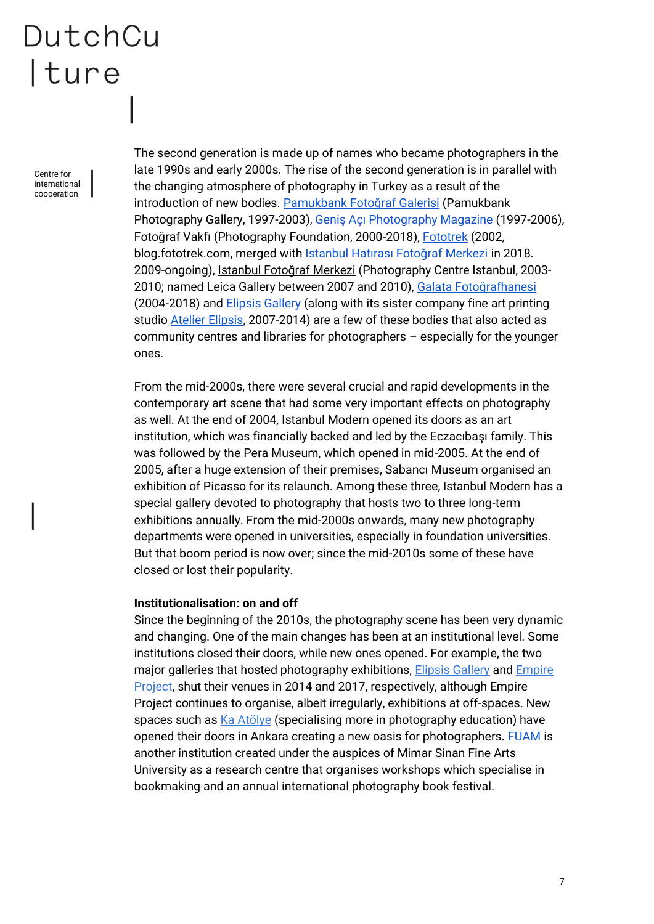Centre for international cooperation

The second generation is made up of names who became photographers in the late 1990s and early 2000s. The rise of the second generation is in parallel with the changing atmosphere of photography in Turkey as a result of the introduction of new bodies. [Pamukbank Fotoğraf Ga](https://tr.wikipedia.org/wiki/Pamukbank_Foto%C4%9Fraf_Koleksiyonu)lerisi (Pamukbank Photography Gallery, 1997-2003), [Geniş Açı Photography Magazine](http://genisaci.com/) (1997-2006), Fotoğraf Vakfı (Photography Foundation, 2000-2018), [Fototrek](http://blog.fototrek.com/) (2002, blog.fototrek.com, merged with [Istanbul Hatırası Fotoğraf Merkezi](http://www.istanbulhatirasi.org/) in 2018. 2009-ongoing), Istanbul Fotoğraf Merkezi (Photography Centre Istanbul, 2003- 2010; named Leica Gallery between 2007 and 2010), [Galata Fotoğrafhanesi](http://galatafotografhanesi.blogspot.com/) (2004-2018) and [Elipsis Gallery](http://www.elipsisgallery.com/) (along with its sister company fine art printing studio [Atelier Elipsis,](http://www.atelierelipsis.com/) 2007-2014) are a few of these bodies that also acted as community centres and libraries for photographers – especially for the younger ones.

From the mid-2000s, there were several crucial and rapid developments in the contemporary art scene that had some very important effects on photography as well. At the end of 2004, Istanbul Modern opened its doors as an art institution, which was financially backed and led by the Eczacıbaşı family. This was followed by the Pera Museum, which opened in mid-2005. At the end of 2005, after a huge extension of their premises, Sabancı Museum organised an exhibition of Picasso for its relaunch. Among these three, Istanbul Modern has a special gallery devoted to photography that hosts two to three long-term exhibitions annually. From the mid-2000s onwards, many new photography departments were opened in universities, especially in foundation universities. But that boom period is now over; since the mid-2010s some of these have closed or lost their popularity.

#### **Institutionalisation: on and off**

Since the beginning of the 2010s, the photography scene has been very dynamic and changing. One of the main changes has been at an institutional level. Some institutions closed their doors, while new ones opened. For example, the two major galleries that hosted photography exhibitions, [Elipsis Gallery](http://www.elipsisgallery.com/) an[d Empire](http://theempireproject.com/)  [Project,](http://theempireproject.com/) shut their venues in 2014 and 2017, respectively, although Empire Project continues to organise, albeit irregularly, exhibitions at off-spaces. New spaces such a[s Ka Atölye](http://kaatolye.com/) (specialising more in photography education) have opened their doors in Ankara creating a new oasis for photographers. [FUAM](http://fuamproject.com/en/) is another institution created under the auspices of Mimar Sinan Fine Arts University as a research centre that organises workshops which specialise in bookmaking and an annual international photography book festival.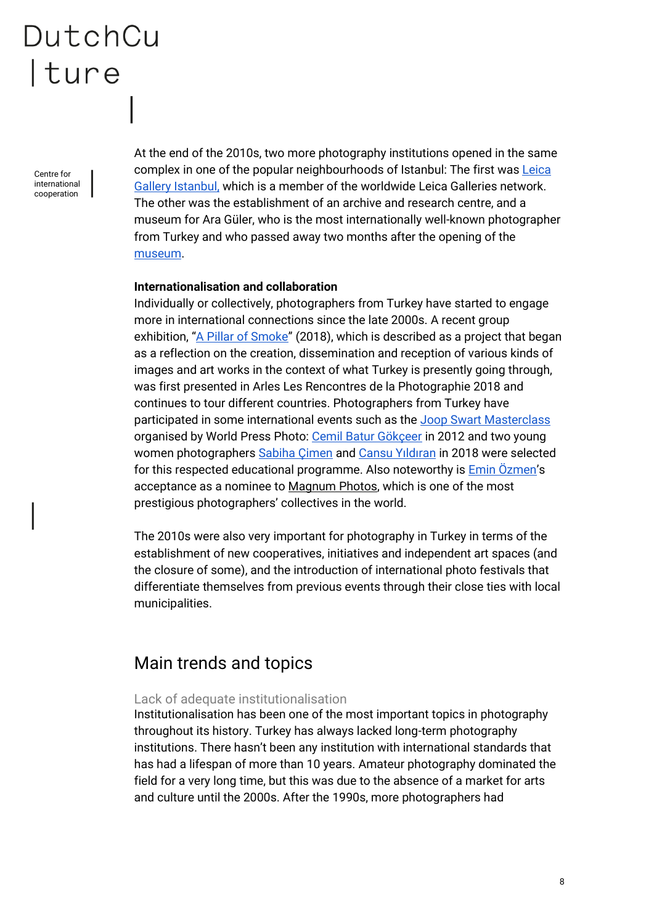Centre for international cooperation

At the end of the 2010s, two more photography institutions opened in the same complex in one of the popular neighbourhoods of Istanbul: The first was Leica [Gallery Istanbul,](https://leicaturkiye.com/galeri/) which is a member of the worldwide Leica Galleries network. The other was the establishment of an archive and research centre, and a museum for Ara Güler, who is the most internationally well-known photographer from Turkey and who passed away two months after the opening of the [museum.](http://aragulermuzesi.com/)

#### **Internationalisation and collaboration**

Individually or collectively, photographers from Turkey have started to engage more in international connections since the late 2000s. A recent group exhibition, "[A Pillar of Smoke](https://www.rencontres-arles.com/en/expositions/view/235/a-pillar-of-smokej)" (2018), which is described as a project that began as a reflection on the creation, dissemination and reception of various kinds of images and art works in the context of what Turkey is presently going through, was first presented in Arles Les Rencontres de la Photographie 2018 and continues to tour different countries. Photographers from Turkey have participated in some international events such as the [Joop Swart Masterclass](https://www.worldpressphoto.org/foundation/joop-swart-masterclass) organised by World Press Photo: Cemil Batur Gökceer in 2012 and two young women photographers [Sabiha Çimen](https://phmuseum.com/sc/info) and [Cansu Yıldıran](https://www.instagram.com/cansuyildirann/) in 2018 were selected for this respected educational programme. Also noteworthy is **Emin Özmen's** acceptance as a nominee to [Magnum Photos,](https://www.magnumphotos.com/) which is one of the most prestigious photographers' collectives in the world.

The 2010s were also very important for photography in Turkey in terms of the establishment of new cooperatives, initiatives and independent art spaces (and the closure of some), and the introduction of international photo festivals that differentiate themselves from previous events through their close ties with local municipalities.

### <span id="page-7-0"></span>Main trends and topics

#### <span id="page-7-1"></span>Lack of adequate institutionalisation

Institutionalisation has been one of the most important topics in photography throughout its history. Turkey has always lacked long-term photography institutions. There hasn't been any institution with international standards that has had a lifespan of more than 10 years. Amateur photography dominated the field for a very long time, but this was due to the absence of a market for arts and culture until the 2000s. After the 1990s, more photographers had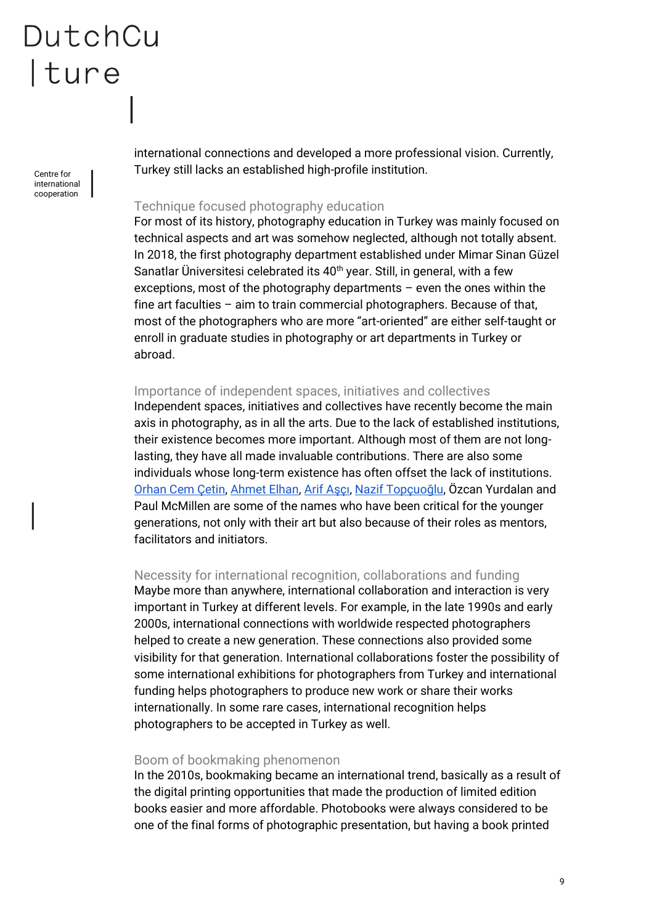Centre for international cooperation

international connections and developed a more professional vision. Currently, Turkey still lacks an established high-profile institution.

#### <span id="page-8-0"></span>Technique focused photography education

For most of its history, photography education in Turkey was mainly focused on technical aspects and art was somehow neglected, although not totally absent. In 2018, the first photography department established under Mimar Sinan Güzel Sanatlar Üniversitesi celebrated its 40<sup>th</sup> year. Still, in general, with a few exceptions, most of the photography departments – even the ones within the fine art faculties – aim to train commercial photographers. Because of that, most of the photographers who are more "art-oriented" are either self-taught or enroll in graduate studies in photography or art departments in Turkey or abroad.

#### <span id="page-8-1"></span>Importance of independent spaces, initiatives and collectives

Independent spaces, initiatives and collectives have recently become the main axis in photography, as in all the arts. Due to the lack of established institutions, their existence becomes more important. Although most of them are not longlasting, they have all made invaluable contributions. There are also some individuals whose long-term existence has often offset the lack of institutions. [Orhan Cem Çetin,](http://www.orhancemcetin.com/) [Ahmet Elhan,](http://ahmetelhan.com/en/) [Arif Aşçı](http://arifasci.com/), [Nazif Topçuoğlu](http://naziftopcuoglu.com/), Özcan Yurdalan and Paul McMillen are some of the names who have been critical for the younger generations, not only with their art but also because of their roles as mentors, facilitators and initiators.

#### <span id="page-8-2"></span>Necessity for international recognition, collaborations and funding

Maybe more than anywhere, international collaboration and interaction is very important in Turkey at different levels. For example, in the late 1990s and early 2000s, international connections with worldwide respected photographers helped to create a new generation. These connections also provided some visibility for that generation. International collaborations foster the possibility of some international exhibitions for photographers from Turkey and international funding helps photographers to produce new work or share their works internationally. In some rare cases, international recognition helps photographers to be accepted in Turkey as well.

#### <span id="page-8-3"></span>Boom of bookmaking phenomenon

In the 2010s, bookmaking became an international trend, basically as a result of the digital printing opportunities that made the production of limited edition books easier and more affordable. Photobooks were always considered to be one of the final forms of photographic presentation, but having a book printed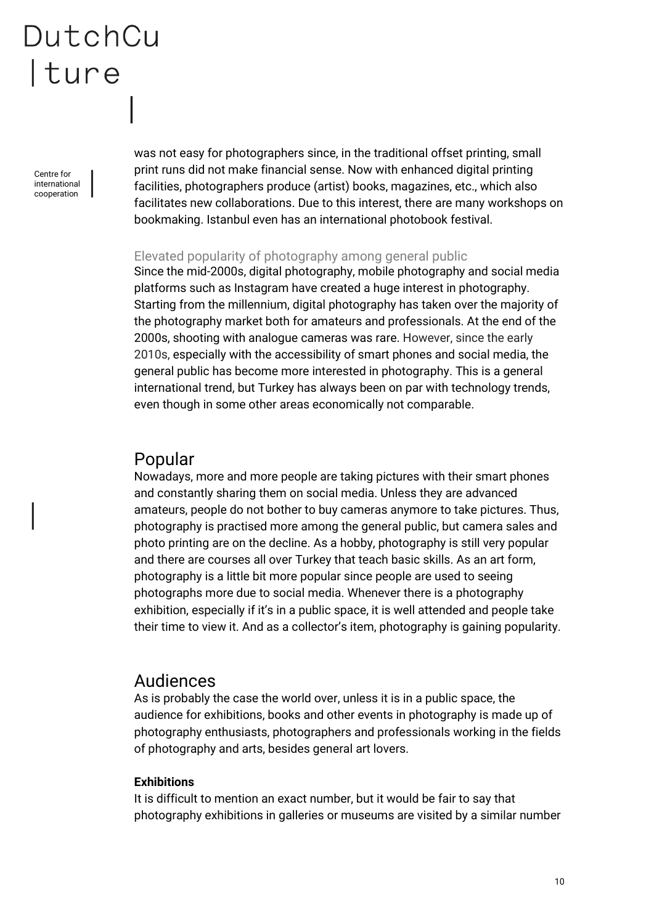Centre for international cooperation

was not easy for photographers since, in the traditional offset printing, small print runs did not make financial sense. Now with enhanced digital printing facilities, photographers produce (artist) books, magazines, etc., which also facilitates new collaborations. Due to this interest, there are many workshops on bookmaking. Istanbul even has an international photobook festival.

#### <span id="page-9-0"></span>Elevated popularity of photography among general public

Since the mid-2000s, digital photography, mobile photography and social media platforms such as Instagram have created a huge interest in photography. Starting from the millennium, digital photography has taken over the majority of the photography market both for amateurs and professionals. At the end of the 2000s, shooting with analogue cameras was rare. However, since the early 2010s, especially with the accessibility of smart phones and social media, the general public has become more interested in photography. This is a general international trend, but Turkey has always been on par with technology trends, even though in some other areas economically not comparable.

### <span id="page-9-1"></span>Popular

Nowadays, more and more people are taking pictures with their smart phones and constantly sharing them on social media. Unless they are advanced amateurs, people do not bother to buy cameras anymore to take pictures. Thus, photography is practised more among the general public, but camera sales and photo printing are on the decline. As a hobby, photography is still very popular and there are courses all over Turkey that teach basic skills. As an art form, photography is a little bit more popular since people are used to seeing photographs more due to social media. Whenever there is a photography exhibition, especially if it's in a public space, it is well attended and people take their time to view it. And as a collector's item, photography is gaining popularity.

### <span id="page-9-2"></span>Audiences

As is probably the case the world over, unless it is in a public space, the audience for exhibitions, books and other events in photography is made up of photography enthusiasts, photographers and professionals working in the fields of photography and arts, besides general art lovers.

#### **Exhibitions**

It is difficult to mention an exact number, but it would be fair to say that photography exhibitions in galleries or museums are visited by a similar number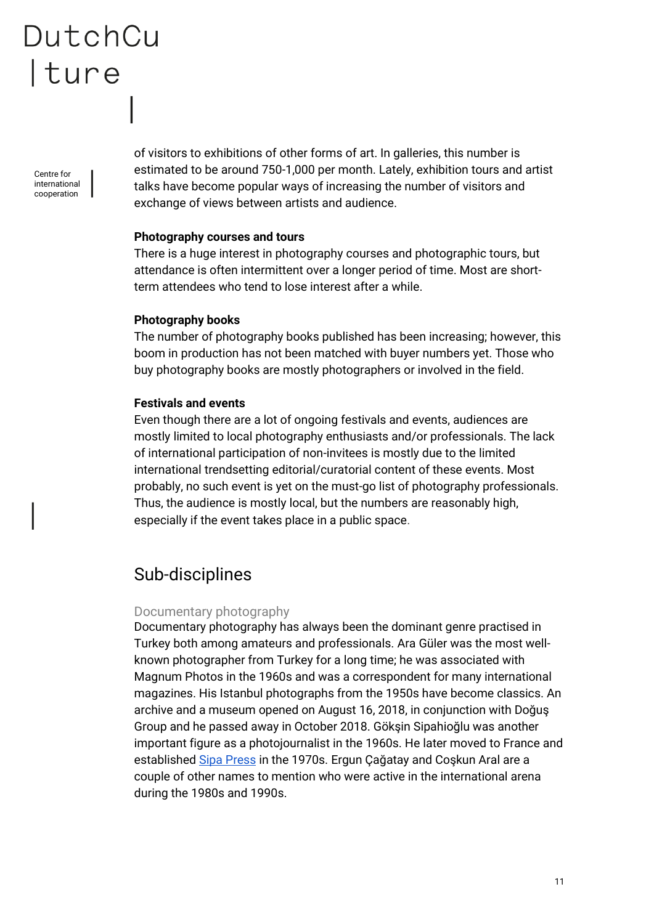Centre for international cooperation of visitors to exhibitions of other forms of art. In galleries, this number is estimated to be around 750-1,000 per month. Lately, exhibition tours and artist talks have become popular ways of increasing the number of visitors and exchange of views between artists and audience.

#### **Photography courses and tours**

There is a huge interest in photography courses and photographic tours, but attendance is often intermittent over a longer period of time. Most are shortterm attendees who tend to lose interest after a while.

#### **Photography books**

The number of photography books published has been increasing; however, this boom in production has not been matched with buyer numbers yet. Those who buy photography books are mostly photographers or involved in the field.

#### **Festivals and events**

Even though there are a lot of ongoing festivals and events, audiences are mostly limited to local photography enthusiasts and/or professionals. The lack of international participation of non-invitees is mostly due to the limited international trendsetting editorial/curatorial content of these events. Most probably, no such event is yet on the must-go list of photography professionals. Thus, the audience is mostly local, but the numbers are reasonably high, especially if the event takes place in a public space.

### <span id="page-10-0"></span>Sub-disciplines

#### <span id="page-10-1"></span>Documentary photography

Documentary photography has always been the dominant genre practised in Turkey both among amateurs and professionals. Ara Güler was the most wellknown photographer from Turkey for a long time; he was associated with Magnum Photos in the 1960s and was a correspondent for many international magazines. His Istanbul photographs from the 1950s have become classics. An archive and a museum opened on August 16, 2018, in conjunction with Doğuş Group and he passed away in October 2018. Gökşin Sipahioğlu was another important figure as a photojournalist in the 1960s. He later moved to France and established [Sipa Press](http://www.sipa.com/) in the 1970s. Ergun Çağatay and Coşkun Aral are a couple of other names to mention who were active in the international arena during the 1980s and 1990s.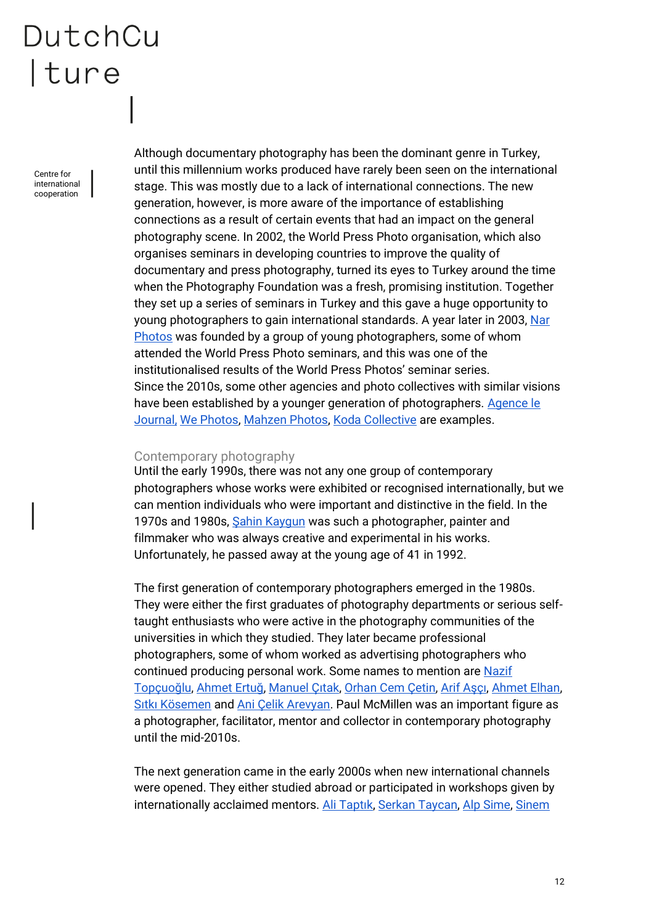Centre for international cooperation

Although documentary photography has been the dominant genre in Turkey, until this millennium works produced have rarely been seen on the international stage. This was mostly due to a lack of international connections. The new generation, however, is more aware of the importance of establishing connections as a result of certain events that had an impact on the general photography scene. In 2002, the World Press Photo organisation, which also organises seminars in developing countries to improve the quality of documentary and press photography, turned its eyes to Turkey around the time when the Photography Foundation was a fresh, promising institution. Together they set up a series of seminars in Turkey and this gave a huge opportunity to young photographers to gain international standards. A year later in 2003, [Nar](http://www.narphotos.net/)  [Photos](http://www.narphotos.net/) was founded by a group of young photographers, some of whom attended the World Press Photo seminars, and this was one of the institutionalised results of the World Press Photos' seminar series. Since the 2010s, some other agencies and photo collectives with similar visions have been established by a younger generation of photographers. Agence le [Journal,](http://www.agencelejournal.com/) [We Photos,](https://www.instagram.com/wephotoss/?hl=en) [Mahzen Photos,](https://www.facebook.com/mahzenphotos/) [Koda Collective](http://www.kodaphotos.com/) are examples.

#### <span id="page-11-0"></span>Contemporary photography

Until the early 1990s, there was not any one group of contemporary photographers whose works were exhibited or recognised internationally, but we can mention individuals who were important and distinctive in the field. In the 1970s and 1980s, Sahin Kaygun was such a photographer, painter and filmmaker who was always creative and experimental in his works. Unfortunately, he passed away at the young age of 41 in 1992.

The first generation of contemporary photographers emerged in the 1980s. They were either the first graduates of photography departments or serious selftaught enthusiasts who were active in the photography communities of the universities in which they studied. They later became professional photographers, some of whom worked as advertising photographers who continued producing personal work. Some names to mention are [Nazif](http://naziftopcuoglu.com/)  [Topçuoğlu](http://naziftopcuoglu.com/), [Ahmet Ertuğ](http://www.ahmetertug.com/), [Manuel Çıtak](http://www.manuelcitak.com/)[, Orhan Cem Çetin,](http://www.orhancemcetin.com/) [Arif Aşçı](http://arifasci.com/)[, Ahmet Elhan,](http://ahmetelhan.com/en/) [Sıtkı Kösemen](http://www.sitkikosemen.com/) and [Ani Çelik Arevyan.](http://www.anicelikarevyan.com/) Paul McMillen was an important figure as a photographer, facilitator, mentor and collector in contemporary photography until the mid-2010s.

The next generation came in the early 2000s when new international channels were opened. They either studied abroad or participated in workshops given by internationally acclaimed mentors. [Ali Taptık](http://www.alitaptik.com/), [Serkan Taycan,](http://www.serkantaycan.com/) [Alp Sime,](http://www.alpsime.com/) Sinem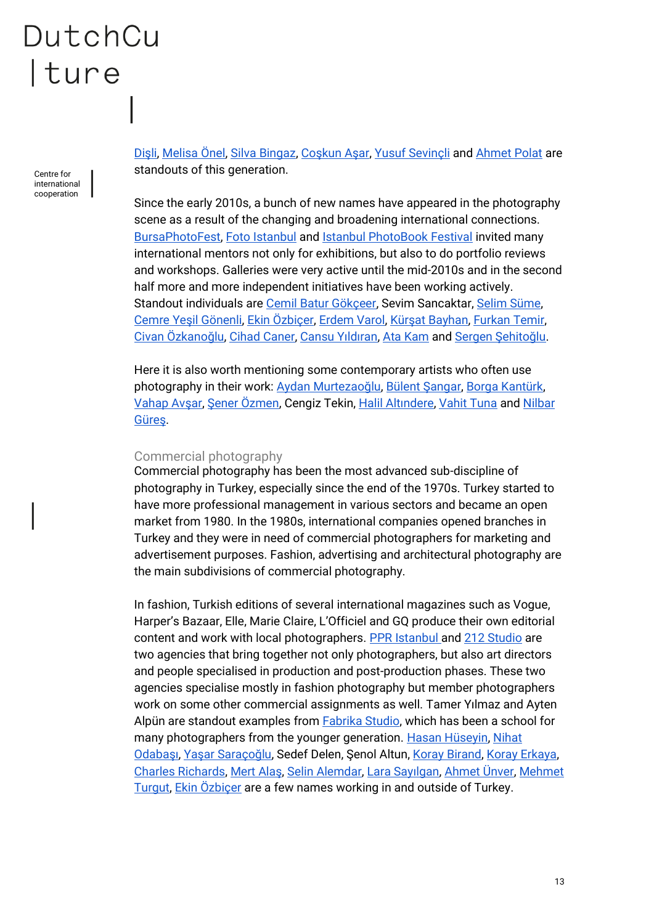Centre for international cooperation

[Dişli](http://www.sinemdisli.com/), [Melisa Önel,](http://www.melisaonel.com/) [Silva Bingaz,](http://silvabingaz.com/) [Coşkun Aşar](https://www.coskunasar.com/), [Yusuf Sevinçli](http://www.yusufsevincli.com/) and [Ahmet Polat](http://www.ahmetpolat.nl/) are standouts of this generation.

Since the early 2010s, a bunch of new names have appeared in the photography scene as a result of the changing and broadening international connections. [BursaPhotoFest,](http://www.bursaphotofest.org/) [Foto Istanbul](http://www.fotoistanbul.org/indexEN.html) an[d Istanbul PhotoBook Festival](https://www.istanbulphotobookfestival.org/) invited many international mentors not only for exhibitions, but also to do portfolio reviews and workshops. Galleries were very active until the mid-2010s and in the second half more and more independent initiatives have been working actively. Standout individuals are [Cemil Batur Gökçeer,](https://www.cemilbaturgokceer.com/) Sevim Sancaktar, [Selim Süme,](http://www.selimsume.com/)  [Cemre Yeşil Gönenli](http://cemreyesil.com/), [Ekin Özbiçer,](http://www.ekinozbicer.com/) [Erdem Varol,](https://www.instagram.com/erdemvaroll/?hl=en) [Kürşat Bayhan](https://www.instagram.com/kursatbayhan/), [Furkan Temir,](http://www.furkantemir.com/)  [Civan Özkanoğlu](https://www.civanozkanoglu.com/), [Cihad Caner,](http://www.cihadcaner.com/) [Cansu Yıldıran](https://www.instagram.com/cansuyildirann/)[, Ata Kam](http://kam.today/) and [Sergen Şehitoğlu](http://www.sergensehitoglu.com/sergensehitoglu.com/index.html.html).

Here it is also worth mentioning some contemporary artists who often use photography in their work: [Aydan Murtezaoğlu](https://saltonline.org/en/1780/devamlilik-hatasi), [Bülent Şangar](https://saltonline.org/en/1780/devamlilik-hatasi)[, Borga Kantürk,](http://borgakanturk.blogspot.com/)  [Vahap Avşar](http://vahapavsar.com/), [Şener Özmen](https://iscp-nyc.org/resident/sener-ozmen), Cengiz Tekin, [Halil Altındere](http://www.pilotgaleri.com/en/artists/detail/30), [Vahit Tuna](https://www.istanbulmodern.org/en/membership/genc-modern/vahit-tuna-sunshine_1701.html) and [Nilbar](https://tanjawagner.com/artists/nilbar-gures/)  [Güreş](https://tanjawagner.com/artists/nilbar-gures/).

#### <span id="page-12-0"></span>Commercial photography

Commercial photography has been the most advanced sub-discipline of photography in Turkey, especially since the end of the 1970s. Turkey started to have more professional management in various sectors and became an open market from 1980. In the 1980s, international companies opened branches in Turkey and they were in need of commercial photographers for marketing and advertisement purposes. Fashion, advertising and architectural photography are the main subdivisions of commercial photography.

In fashion, Turkish editions of several international magazines such as Vogue, Harper's Bazaar, Elle, Marie Claire, L'Officiel and GQ produce their own editorial content and work with local photographers. [PPR Istanbul a](http://www.ppristanbul.com/)n[d 212 Studio](http://www.212-studio.com/) are two agencies that bring together not only photographers, but also art directors and people specialised in production and post-production phases. These two agencies specialise mostly in fashion photography but member photographers work on some other commercial assignments as well. Tamer Yılmaz and Ayten Alpün are standout examples from **Fabrika Studio**, which has been a school for many photographers from the younger generation. [Hasan Hüseyin,](http://www.hasanhuseyin.com/) [Nihat](http://www.nihatodabasi.com/)  [Odabaşı](http://www.nihatodabasi.com/), [Yaşar Saraçoğlu,](http://www.yasarsaracoglu.com/) Sedef Delen, Şenol Altun, [Koray Birand,](http://www.koraybirand.co.uk/) [Koray Erkaya,](https://korayerkaya.com/) [Charles Richards,](http://www.charlesemir.com/) [Mert Alaş](https://www.artpartner.com/artists/film-print/mert-alas-marcus-piggott/), [Selin Alemdar,](http://www.selinalemdar.com/) [Lara Sayılgan](https://www.larasayilgan.com/)[, Ahmet Ünver,](https://ahmetunver.com/) [Mehmet](http://www.mehmetturgut.com/)  [Turgut,](http://www.mehmetturgut.com/) Ekin Özbicer are a few names working in and outside of Turkey.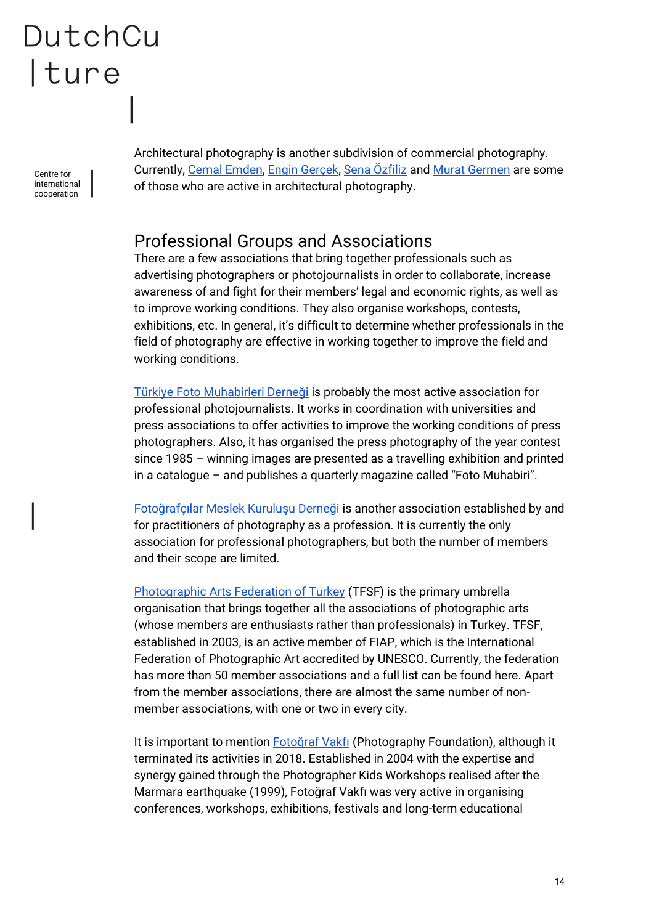Centre for international cooperation

Architectural photography is another subdivision of commercial photography. Currently, [Cemal Emden,](http://www.cemalemden.com/) Engin Gercek, [Sena Özfiliz](https://archilifography.com/biography/) and [Murat Germen](http://muratgermen.com/) are some of those who are active in architectural photography.

### <span id="page-13-0"></span>Professional Groups and Associations

There are a few associations that bring together professionals such as advertising photographers or photojournalists in order to collaborate, increase awareness of and fight for their members' legal and economic rights, as well as to improve working conditions. They also organise workshops, contests, exhibitions, etc. In general, it's difficult to determine whether professionals in the field of photography are effective in working together to improve the field and working conditions.

[Türkiye Foto Muh](http://www.tfmd.org.tr/)abirleri Derneği is probably the most active association for professional photojournalists. It works in coordination with universities and press associations to offer activities to improve the working conditions of press photographers. Also, it has organised the press photography of the year contest since 1985 – winning images are presented as a travelling exhibition and printed in a catalogue – and publishes a quarterly magazine called "Foto Muhabiri".

[Fotoğrafçılar Meslek Kuruluşu Derneği](http://www.fmk.org.tr/) is another association established by and for practitioners of photography as a profession. It is currently the only association for professional photographers, but both the number of members and their scope are limited.

[Photographic Arts Federation of Turkey](https://www.tfsf.org.tr/) (TFSF) is the primary umbrella organisation that brings together all the associations of photographic arts (whose members are enthusiasts rather than professionals) in Turkey. TFSF, established in 2003, is an active member of FIAP, which is the International Federation of Photographic Art accredited by UNESCO. Currently, the federation has more than 50 member associations and a full list can be found [here.](https://www.tfsf.org.tr/uye_fotograf_dernekleri.asp) Apart from the member associations, there are almost the same number of nonmember associations, with one or two in every city.

It is important to mention [Fotoğraf](http://www.fotografvakfi.com/) Vakfı (Photography Foundation), although it terminated its activities in 2018. Established in 2004 with the expertise and synergy gained through the Photographer Kids Workshops realised after the Marmara earthquake (1999), Fotoğraf Vakfı was very active in organising conferences, workshops, exhibitions, festivals and long-term educational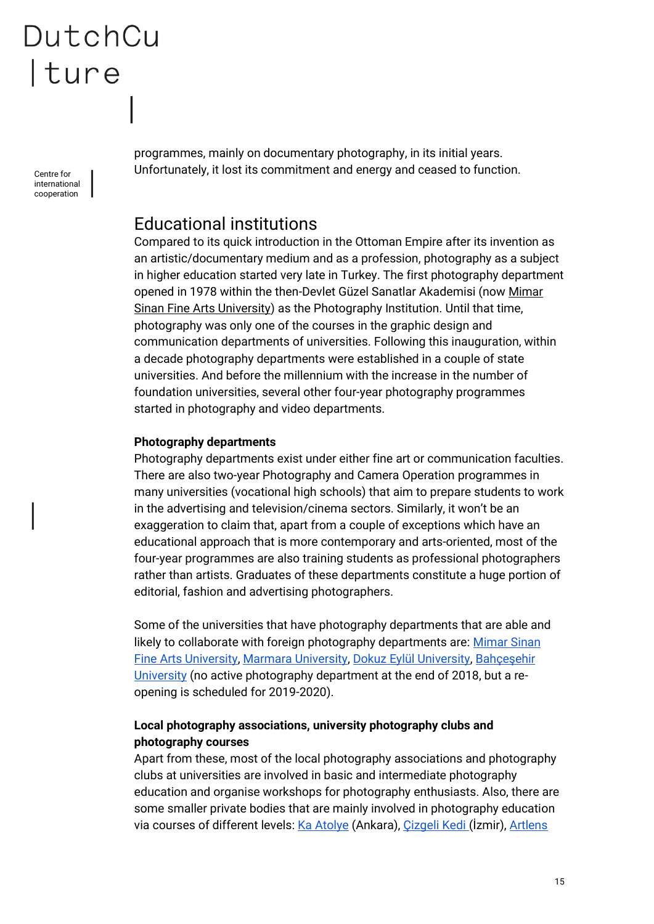Centre for international cooperation

programmes, mainly on documentary photography, in its initial years. Unfortunately, it lost its commitment and energy and ceased to function.

### <span id="page-14-0"></span>Educational institutions

Compared to its quick introduction in the Ottoman Empire after its invention as an artistic/documentary medium and as a profession, photography as a subject in higher education started very late in Turkey. The first photography department opened in 1978 within the then-Devlet Güzel Sanatlar Akademisi (now [Mimar](http://www.msgsu.edu.tr/)  [Sinan Fine Arts University\)](http://www.msgsu.edu.tr/) as the Photography Institution. Until that time, photography was only one of the courses in the graphic design and communication departments of universities. Following this inauguration, within a decade photography departments were established in a couple of state universities. And before the millennium with the increase in the number of foundation universities, several other four-year photography programmes started in photography and video departments.

#### **Photography departments**

Photography departments exist under either fine art or communication faculties. There are also two-year Photography and Camera Operation programmes in many universities (vocational high schools) that aim to prepare students to work in the advertising and television/cinema sectors. Similarly, it won't be an exaggeration to claim that, apart from a couple of exceptions which have an educational approach that is more contemporary and arts-oriented, most of the four-year programmes are also training students as professional photographers rather than artists. Graduates of these departments constitute a huge portion of editorial, fashion and advertising photographers.

Some of the universities that have photography departments that are able and likely to collaborate with foreign photography departments are: Mimar Sinan [Fine Arts University,](http://www.msgsu.edu.tr/faculties/guzel-sanatlar-fakultesi/fotograf-bolumu) [Marmara University,](http://fot.gsf.marmara.edu.tr/en/) [Dokuz Eylül University,](http://gsf.deu.edu.tr/tr/fotograf/) [Bahçeşehir](https://bau.edu.tr/)  [University](https://bau.edu.tr/) (no active photography department at the end of 2018, but a reopening is scheduled for 2019-2020).

#### **Local photography associations, university photography clubs and photography courses**

Apart from these, most of the local photography associations and photography clubs at universities are involved in basic and intermediate photography education and organise workshops for photography enthusiasts. Also, there are some smaller private bodies that are mainly involved in photography education via courses of different levels: [Ka Atolye](http://kaatolye.com/) (Ankara), Cizgeli Kedi (İzmir), [Artlens](http://www.atolyeartlens.com/)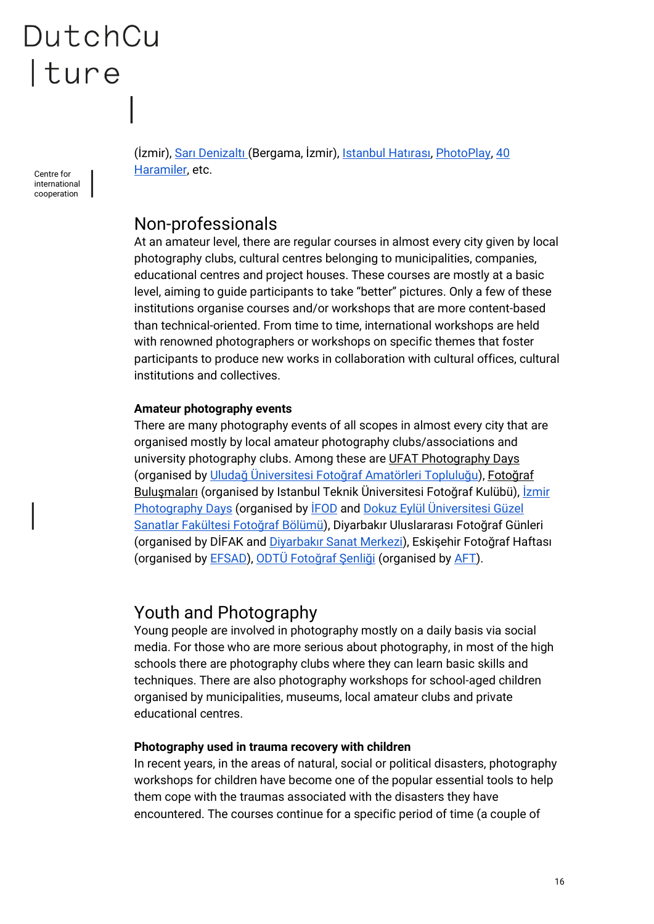Centre for international cooperation

(İzmir), [Sarı Denizaltı \(](https://www.saridenizalti.com/)Bergama, İzmir), I[stanbul Hatırası](https://www.istanbulhatirasi.org/), [PhotoPlay,](https://www.photoplay.com.tr/) [40](http://www.40haramiler.com/)  [Haramiler,](http://www.40haramiler.com/) etc.

### <span id="page-15-0"></span>Non-professionals

At an amateur level, there are regular courses in almost every city given by local photography clubs, cultural centres belonging to municipalities, companies, educational centres and project houses. These courses are mostly at a basic level, aiming to guide participants to take "better" pictures. Only a few of these institutions organise courses and/or workshops that are more content-based than technical-oriented. From time to time, international workshops are held with renowned photographers or workshops on specific themes that foster participants to produce new works in collaboration with cultural offices, cultural institutions and collectives.

#### **Amateur photography events**

There are many photography events of all scopes in almost every city that are organised mostly by local amateur photography clubs/associations and university photography clubs. Among these are [UFAT Photography Days](http://ufg10.ufatfg.com/) (organised by [Uludağ Üniversitesi Fotoğraf Amatörleri Topluluğu](http://www.ufatfg.com/)), [Fotoğraf](http://fotografbulusmalari.org/)  [Buluşmaları](http://fotografbulusmalari.org/) (organised by Istanbul Teknik Üniversitesi Fotoğraf Kulübü), *İzmir* [Photography Days](http://izmirphotodays.com/2018/?lang=en) (organised by [İFOD](http://ifod.org.tr/?lang=en) and [Dokuz Eylül Üniversitesi Güzel](http://gsf.deu.edu.tr/tr/fotograf/)  [Sanatlar Fakültesi Fotoğraf Bölümü\)](http://gsf.deu.edu.tr/tr/fotograf/), Diyarbakır Uluslararası Fotoğraf Günleri (organised by DİFAK and [Diyarbakır Sanat Merkezi\)](http://www.diyarbakirsanat.org/en/default.aspx), Eskişehir Fotoğraf Haftası (organised by [EFSAD\)](https://www.efsad.org.tr/), ODT[Ü Fotoğraf Şenliği](http://aft.metu.edu.tr/festivals.php) (organised by [AFT\)](http://aft.metu.edu.tr/index.php).

### <span id="page-15-1"></span>Youth and Photography

Young people are involved in photography mostly on a daily basis via social media. For those who are more serious about photography, in most of the high schools there are photography clubs where they can learn basic skills and techniques. There are also photography workshops for school-aged children organised by municipalities, museums, local amateur clubs and private educational centres.

#### **Photography used in trauma recovery with children**

In recent years, in the areas of natural, social or political disasters, photography workshops for children have become one of the popular essential tools to help them cope with the traumas associated with the disasters they have encountered. The courses continue for a specific period of time (a couple of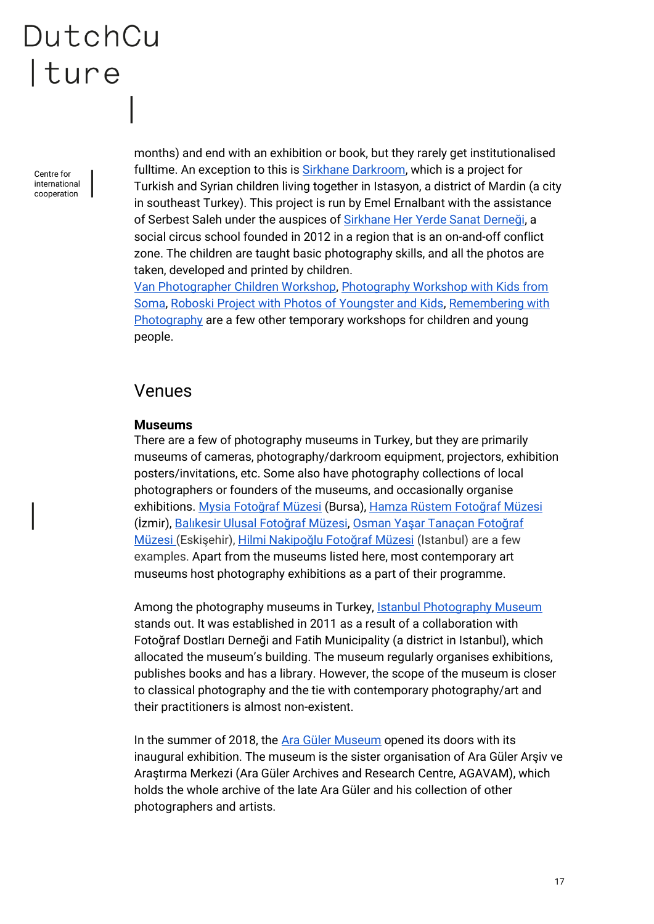Centre for international cooperation

months) and end with an exhibition or book, but they rarely get institutionalised fulltime. An exception to this is **Sirkhane Darkroom**, which is a project for Turkish and Syrian children living together in Istasyon, a district of Mardin (a city in southeast Turkey). This project is run by Emel Ernalbant with the assistance of Serbest Saleh under the auspices of [Sirkhane Her Yerde Sanat Derneği](https://heryerdesanat.org/), a social circus school founded in 2012 in a region that is an on-and-off conflict zone. The children are taught basic photography skills, and all the photos are taken, developed and printed by children.

[Van Photographer Children Workshop,](http://www.anadolukultur.org/en/areas-of-work/projects/van-photographer-children-workshop/105) [Photography Workshop with Kids from](https://vimeo.com/96807831)  [Soma,](https://vimeo.com/96807831) [Roboski Project with Photos of Youngster and Kids,](https://vimeo.com/78912133) [Remembering with](http://www.anadolukultur.org/en/areas-of-work/projects/remembering-with-photography/83)  [Photography](http://www.anadolukultur.org/en/areas-of-work/projects/remembering-with-photography/83) are a few other temporary workshops for children and young people.

### <span id="page-16-0"></span>Venues

#### **Museums**

There are a few of photography museums in Turkey, but they are primarily museums of cameras, photography/darkroom equipment, projectors, exhibition posters/invitations, etc. Some also have photography collections of local photographers or founders of the museums, and occasionally organise exhibitions. [Mysia Fotoğraf Müzesi](http://www.nilufer.bel.tr/niluferbelediyesi-380-mysia_fotograf_muzesi#PopupGoster%5Bpopup%5D/0/) (Bursa), [Hamza Rüstem Fotoğraf Müzesi](http://www.karsiyaka.bel.tr/tr/neler-yapabilirsiniz/muzeler/hamza-rustem-fotograf-muzesi) (İzmir), [Balıkesir Ulusal Fotoğra](https://www.fotografmuzesi.org/)f Müzesi, [Osman Yaşar Tanaçan Fotoğraf](http://www.odunpazari.bel.tr/odunpazaribelediyesi-59-osman_yasar_tanacan_fotograf_galerisi)  [Müzesi](http://www.odunpazari.bel.tr/odunpazaribelediyesi-59-osman_yasar_tanacan_fotograf_galerisi) (Eskişehir), [Hilmi Nakipoğlu Fotoğraf Müzesi](http://www.cameramuseum.com.tr/) (Istanbul) are a few examples. Apart from the museums listed here, most contemporary art museums host photography exhibitions as a part of their programme.

Among the photography museums in Turkey, [Istanbul Photography Museum](http://www.istanbulfotografmuzesi.com/index.html) stands out. It was established in 2011 as a result of a collaboration with Fotoğraf Dostları Derneği and Fatih Municipality (a district in Istanbul), which allocated the museum's building. The museum regularly organises exhibitions, publishes books and has a library. However, the scope of the museum is closer to classical photography and the tie with contemporary photography/art and their practitioners is almost non-existent.

In the summer of 2018, the Ara [Güler](http://aragulermuzesi.com/) [Museum](http://aragulermuzesi.com/) opened its doors with its inaugural exhibition. The museum is the sister organisation of Ara Güler Arşiv ve Araştırma Merkezi (Ara Güler Archives and Research Centre, AGAVAM), which holds the whole archive of the late Ara Güler and his collection of other photographers and artists.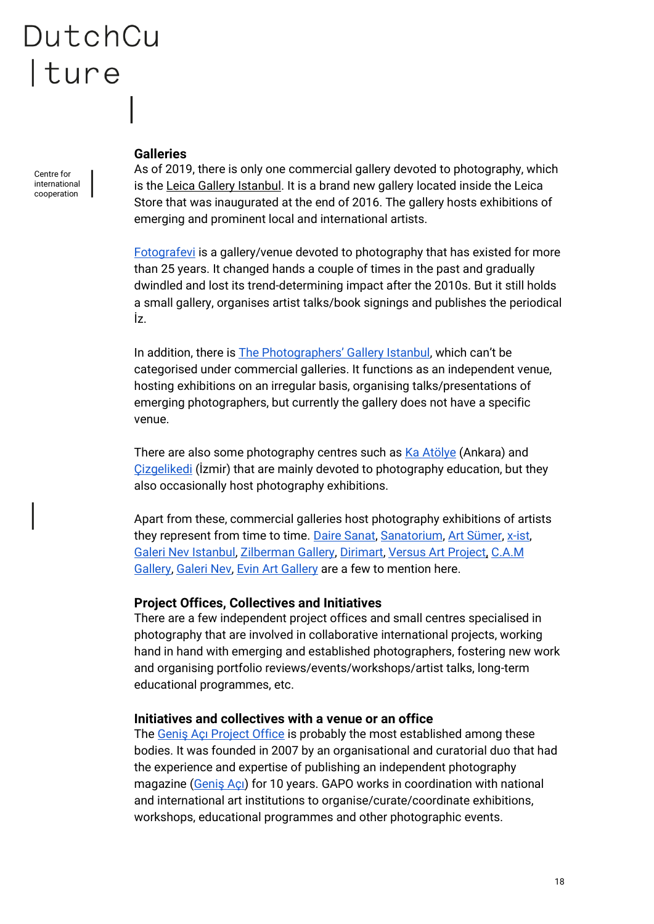Centre for international cooperation

#### **Galleries**

As of 2019, there is only one commercial gallery devoted to photography, which is the [Leica Gallery Istanbul.](https://leicaturkiye.com/galeri/) It is a brand new gallery located inside the Leica Store that was inaugurated at the end of 2016. The gallery hosts exhibitions of emerging and prominent local and international artists.

[Fotografevi](https://www.fotografevi.com/) is a gallery/venue devoted to photography that has existed for more than 25 years. It changed hands a couple of times in the past and gradually dwindled and lost its trend-determining impact after the 2010s. But it still holds a small gallery, organises artist talks/book signings and publishes the periodical İz.

In addition, there is **The Photographers' Gallery Istanbul**, which can't be categorised under commercial galleries. It functions as an independent venue, hosting exhibitions on an irregular basis, organising talks/presentations of emerging photographers, but currently the gallery does not have a specific venue.

There are also some photography centres such as [Ka Atölye](http://kaatolye.com/) (Ankara) and [Çizgelikedi](http://www.cizgelikedi.com/) (İzmir) that are mainly devoted to photography education, but they also occasionally host photography exhibitions.

Apart from these, commercial galleries host photography exhibitions of artists they represent from time to time. [Daire Sanat,](http://www.dairesanat.com/index.php/tr/) [Sanatorium,](http://www.sanatorium.com.tr/tr) [Art Sümer,](http://www.artsumer.com/) [x-ist,](https://www.artxist.com/) [Galeri Nev Istanbul,](http://www.galerinevistanbul.com/) [Zilberman Gallery,](https://www.zilbermangallery.com/index.asp) [Dirimart,](http://www.dirimart.com/en/) [Versus Art Project,](https://www.versusartproject.com/) [C.A.M](http://camgaleri.com/en/)  [Gallery,](http://camgaleri.com/en/) [Galeri Nev,](http://galerinev.art/tr) [Evin Art Gallery](http://www.evin-art.com/) are a few to mention here.

#### **Project Offices, Collectives and Initiatives**

There are a few independent project offices and small centres specialised in photography that are involved in collaborative international projects, working hand in hand with emerging and established photographers, fostering new work and organising portfolio reviews/events/workshops/artist talks, long-term educational programmes, etc.

#### **Initiatives and collectives with a venue or an office**

The [Geniş Açı Project Office](https://www.gapo.org/) is probably the most established among these bodies. It was founded in 2007 by an organisational and curatorial duo that had the experience and expertise of publishing an independent photography magazine ([Geniş Açı](http://www.genisaci.com/)) for 10 years. GAPO works in coordination with national and international art institutions to organise/curate/coordinate exhibitions, workshops, educational programmes and other photographic events.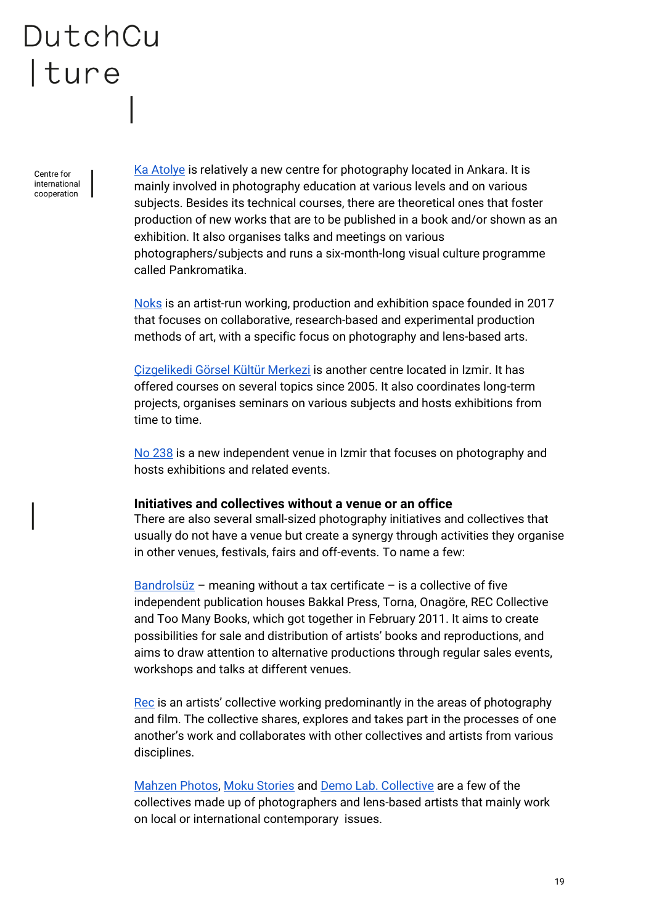Centre for international cooperation

[Ka Atolye](http://kaatolye.com/) is relatively a new centre for photography located in Ankara. It is mainly involved in photography education at various levels and on various subjects. Besides its technical courses, there are theoretical ones that foster production of new works that are to be published in a book and/or shown as an exhibition. It also organises talks and meetings on various photographers/subjects and runs a six-month-long visual culture programme called Pankromatika.

[Noks](https://www.noksart.space/) is an artist-run working, production and exhibition space founded in 2017 that focuses on collaborative, research-based and experimental production methods of art, with a specific focus on photography and lens-based arts.

[Çizgelikedi Görsel Kültür Merkezi](http://www.cizgelikedi.com/) is another centre located in Izmir. It has offered courses on several topics since 2005. It also coordinates long-term projects, organises seminars on various subjects and hosts exhibitions from time to time.

[No 238](https://www.facebook.com/numara238/) is a new independent venue in Izmir that focuses on photography and hosts exhibitions and related events.

#### **Initiatives and collectives without a venue or an office**

There are also several small-sized photography initiatives and collectives that usually do not have a venue but create a synergy through activities they organise in other venues, festivals, fairs and off-events. To name a few:

[Bandrolsüz](http://www.bandrolsuz.org/) – meaning without a tax certificate – is a collective of five independent publication houses Bakkal Press, Torna, Onagöre, REC Collective and Too Many Books, which got together in February 2011. It aims to create possibilities for sale and distribution of artists' books and reproductions, and aims to draw attention to alternative productions through regular sales events, workshops and talks at different venues.

[Rec](http://www.reccollective.org/) is an artists' collective working predominantly in the areas of photography and film. The collective shares, explores and takes part in the processes of one another's work and collaborates with other collectives and artists from various disciplines.

[Mahzen Photos,](https://www.facebook.com/mahzenphotos/) [Moku Stories](https://www.facebook.com/mokustories/) and [Demo Lab. Collective](https://www.facebook.com/Demo-lab-1946313158823296/) are a few of the collectives made up of photographers and lens-based artists that mainly work on local or international contemporary issues.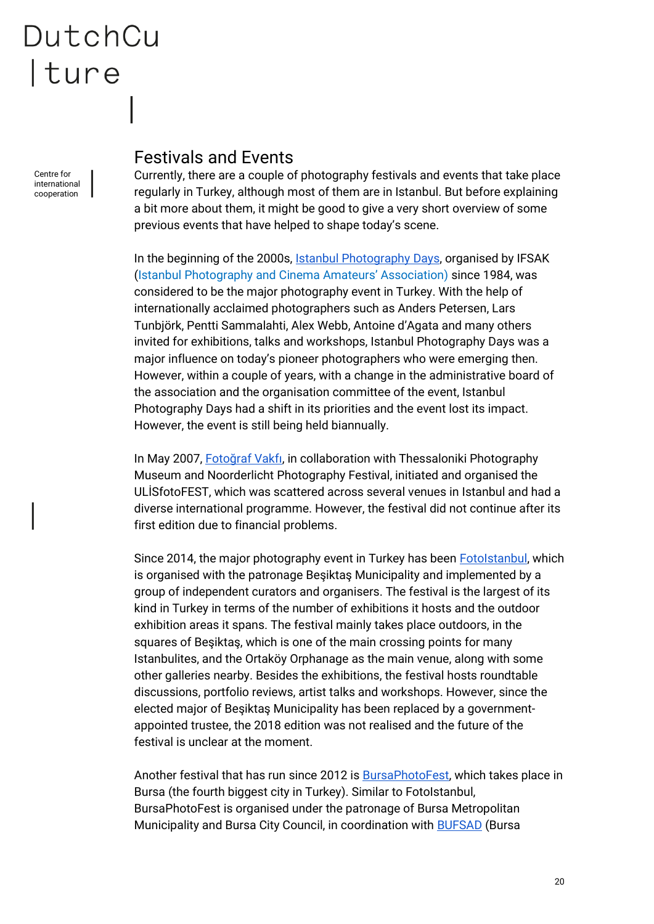Centre for international cooperation

### <span id="page-19-0"></span>Festivals and Events

Currently, there are a couple of photography festivals and events that take place regularly in Turkey, although most of them are in Istanbul. But before explaining a bit more about them, it might be good to give a very short overview of some previous events that have helped to shape today's scene.

In the beginning of the 2000s, [Istanbul Photography](http://www.ifsak.org.tr/tr/etkinlik/istanbul-fotograf-gunleri/3366) Days, organised by IFSAK (Istanbul Photography and Cinema Amateurs' Association) since 1984, was considered to be the major photography event in Turkey. With the help of internationally acclaimed photographers such as Anders Petersen, Lars Tunbjörk, Pentti Sammalahti, Alex Webb, Antoine d'Agata and many others invited for exhibitions, talks and workshops, Istanbul Photography Days was a major influence on today's pioneer photographers who were emerging then. However, within a couple of years, with a change in the administrative board of the association and the organisation committee of the event, Istanbul Photography Days had a shift in its priorities and the event lost its impact. However, the event is still being held biannually.

In May 2007, [Fotoğraf Vakfı](http://www.fotografvakfi.com/), in collaboration with Thessaloniki Photography Museum and Noorderlicht Photography Festival, initiated and organised the ULİSfotoFEST, which was scattered across several venues in Istanbul and had a diverse international programme. However, the festival did not continue after its first edition due to financial problems.

Since 2014, the major photography event in Turkey has been [FotoIstanbul,](http://www.fotoistanbul.org/indexEN.html) which is organised with the patronage Beşiktaş Municipality and implemented by a group of independent curators and organisers. The festival is the largest of its kind in Turkey in terms of the number of exhibitions it hosts and the outdoor exhibition areas it spans. The festival mainly takes place outdoors, in the squares of Beşiktaş, which is one of the main crossing points for many Istanbulites, and the Ortaköy Orphanage as the main venue, along with some other galleries nearby. Besides the exhibitions, the festival hosts roundtable discussions, portfolio reviews, artist talks and workshops. However, since the elected major of Beşiktaş Municipality has been replaced by a governmentappointed trustee, the 2018 edition was not realised and the future of the festival is unclear at the moment.

Another festival that has run since 2012 is [BursaPhotoFest,](http://www.bursaphotofest.org/) which takes place in Bursa (the fourth biggest city in Turkey). Similar to FotoIstanbul, BursaPhotoFest is organised under the patronage of Bursa Metropolitan Municipality and Bursa City Council, in coordination with **BUFSAD** (Bursa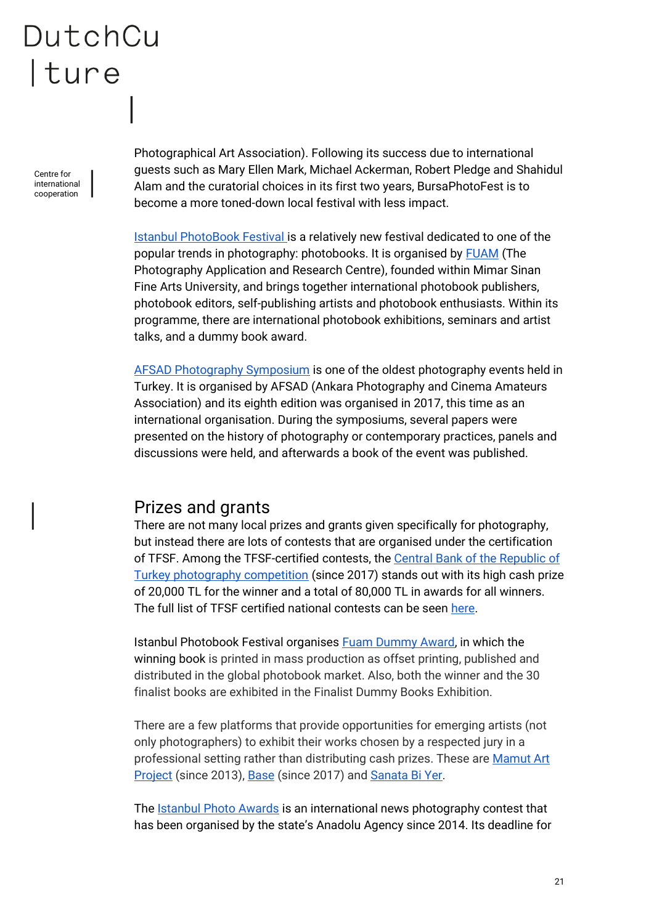Centre for international cooperation

Photographical Art Association). Following its success due to international guests such as Mary Ellen Mark, Michael Ackerman, Robert Pledge and Shahidul Alam and the curatorial choices in its first two years, BursaPhotoFest is to become a more toned-down local festival with less impact.

[Istanbul PhotoBook Festival i](https://www.istanbulphotobookfestival.org/)s a relatively new festival dedicated to one of the popular trends in photography: photobooks. It is organised by [FUAM](http://fuamproject.com/en/) (The Photography Application and Research Centre), founded within Mimar Sinan Fine Arts University, and brings together international photobook publishers, photobook editors, self-publishing artists and photobook enthusiasts. Within its programme, there are international photobook exhibitions, seminars and artist talks, and a dummy book award.

[AFSAD Photography Symposium](http://www.afsad.org.tr/sempozyumlar/) is one of the oldest photography events held in Turkey. It is organised by AFSAD (Ankara Photography and Cinema Amateurs Association) and its eighth edition was organised in 2017, this time as an international organisation. During the symposiums, several papers were presented on the history of photography or contemporary practices, panels and discussions were held, and afterwards a book of the event was published.

### <span id="page-20-0"></span>Prizes and grants

There are not many local prizes and grants given specifically for photography, but instead there are lots of contests that are organised under the certification of TFSF. Among the TFSF-certified contests, the [Central Bank of the Republic of](http://tcmb.gov.tr/wps/wcm/connect/EN/TCMB%20EN/Main%20Menu/About%20The%20Bank/Cultural/Photography%20Contests/Second)  [Turkey photography competition](http://tcmb.gov.tr/wps/wcm/connect/EN/TCMB%20EN/Main%20Menu/About%20The%20Bank/Cultural/Photography%20Contests/Second) (since 2017) stands out with its high cash prize of 20,000 TL for the winner and a total of 80,000 TL in awards for all winners. The full list of TFSF certified national contests can be seen [here.](https://www.tfsfonayliyarismalar.org/en/)

Istanbul Photobook Festival organises [Fuam Dummy Award,](https://www.istanbulphotobookfestival.org/fuam-dummy-book-award) in which the winning book is printed in mass production as offset printing, published and distributed in the global photobook market. Also, both the winner and the 30 finalist books are exhibited in the Finalist Dummy Books Exhibition.

There are a few platforms that provide opportunities for emerging artists (not only photographers) to exhibit their works chosen by a respected jury in a professional setting rather than distributing cash prizes. These are [Mamut Art](http://www.mamutartproject.com/en/home-eng/)  [Project](http://www.mamutartproject.com/en/home-eng/) (since 2013), [Base](https://www.base.ist/) (since 2017) and [Sanata Bi Yer.](https://www.sanatabiyer.com/)

The **Istanbul Photo Awards** is an international news photography contest that has been organised by the state's Anadolu Agency since 2014. Its deadline for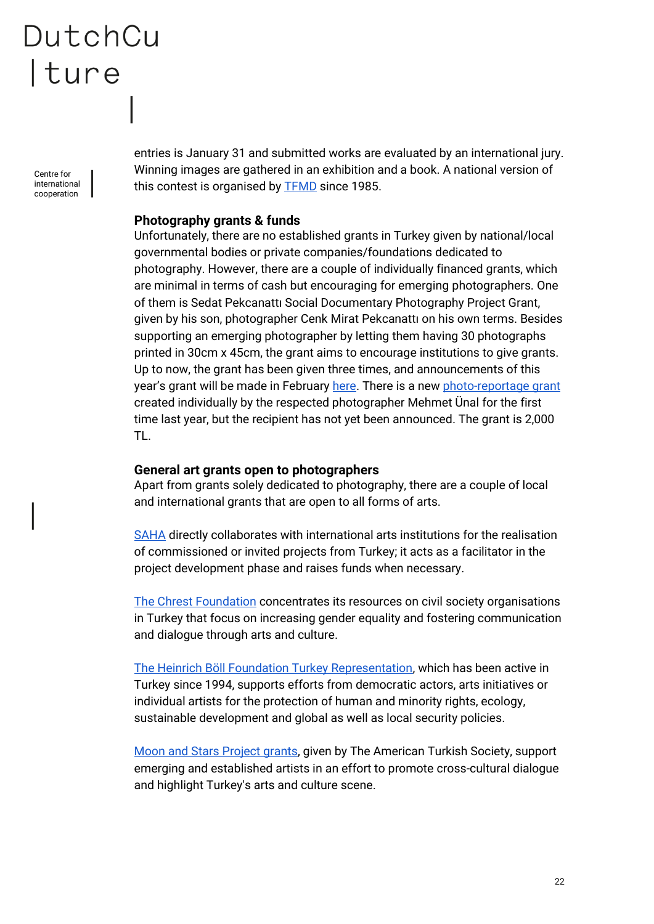Centre for international cooperation

entries is January 31 and submitted works are evaluated by an international jury. Winning images are gathered in an exhibition and a book. A national version of this contest is organised by [TFMD](http://www.tfmd.org.tr/) since 1985.

#### **Photography grants & funds**

Unfortunately, there are no established grants in Turkey given by national/local governmental bodies or private companies/foundations dedicated to photography. However, there are a couple of individually financed grants, which are minimal in terms of cash but encouraging for emerging photographers. One of them is Sedat Pekcanattı Social Documentary Photography Project Grant, given by his son, photographer Cenk Mirat Pekcanattı on his own terms. Besides supporting an emerging photographer by letting them having 30 photographs printed in 30cm x 45cm, the grant aims to encourage institutions to give grants. Up to now, the grant has been given three times, and announcements of this year's grant will be made in February [here.](https://www.facebook.com/golgefanzin/) There is a new [photo-reportage grant](http://fotografbursu.blogspot.com/) created individually by the respected photographer Mehmet Ünal for the first time last year, but the recipient has not yet been announced. The grant is 2,000 TL.

#### **General art grants open to photographers**

Apart from grants solely dedicated to photography, there are a couple of local and international grants that are open to all forms of arts.

[SAHA](http://www.saha.org.tr/en) directly collaborates with international arts institutions for the realisation of commissioned or invited projects from Turkey; it acts as a facilitator in the project development phase and raises funds when necessary.

[The Chrest Foundation](http://www.chrestfoundation.org/en/default.asp) concentrates its resources on civil society organisations in Turkey that focus on increasing gender equality and fostering communication and dialogue through arts and culture.

[The Heinrich Böll Foundation Turkey Representation,](http://tr.boell.org/en/categories/foundation) which has been active in Turkey since 1994, supports efforts from democratic actors, arts initiatives or individual artists for the protection of human and minority rights, ecology, sustainable development and global as well as local security policies.

[Moon and Stars Project grants,](https://www.americanturkishsociety.org/moon-and-stars-project-grants) given by The American Turkish Society, support emerging and established artists in an effort to promote cross-cultural dialogue and highlight Turkey's arts and culture scene.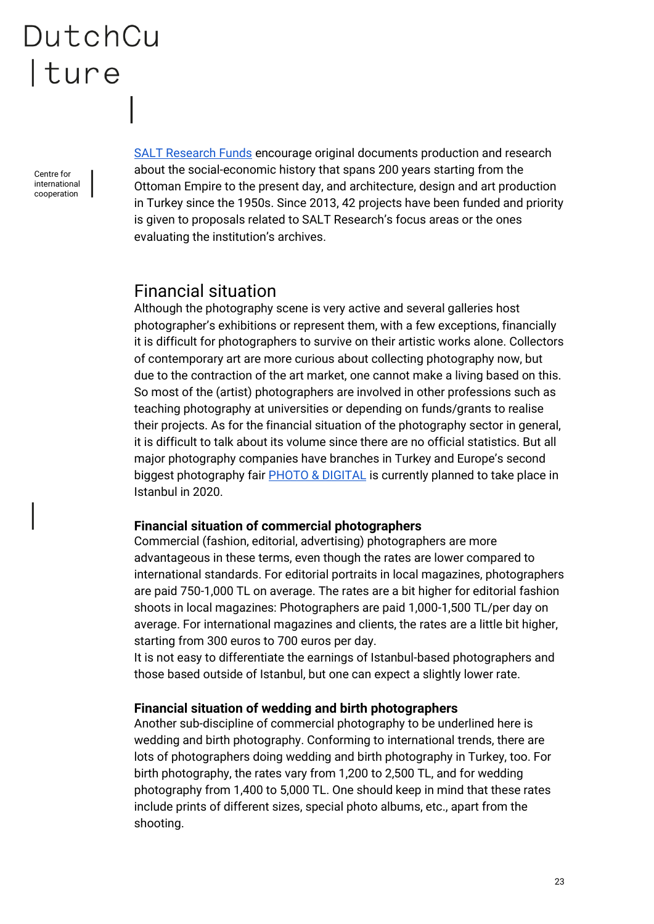Centre for international cooperation

[SALT Research Funds](http://saltonline.org/en/1075/salt-research-funds) encourage original documents production and research about the social-economic history that spans 200 years starting from the Ottoman Empire to the present day, and architecture, design and art production in Turkey since the 1950s. Since 2013, 42 projects have been funded and priority is given to proposals related to SALT Research's focus areas or the ones evaluating the institution's archives.

### <span id="page-22-0"></span>Financial situation

Although the photography scene is very active and several galleries host photographer's exhibitions or represent them, with a few exceptions, financially it is difficult for photographers to survive on their artistic works alone. Collectors of contemporary art are more curious about collecting photography now, but due to the contraction of the art market, one cannot make a living based on this. So most of the (artist) photographers are involved in other professions such as teaching photography at universities or depending on funds/grants to realise their projects. As for the financial situation of the photography sector in general, it is difficult to talk about its volume since there are no official statistics. But all major photography companies have branches in Turkey and Europe's second biggest photography fair **PHOTO & DIGITAL** is currently planned to take place in Istanbul in 2020.

#### **Financial situation of commercial photographers**

Commercial (fashion, editorial, advertising) photographers are more advantageous in these terms, even though the rates are lower compared to international standards. For editorial portraits in local magazines, photographers are paid 750-1,000 TL on average. The rates are a bit higher for editorial fashion shoots in local magazines: Photographers are paid 1,000-1,500 TL/per day on average. For international magazines and clients, the rates are a little bit higher, starting from 300 euros to 700 euros per day.

It is not easy to differentiate the earnings of Istanbul-based photographers and those based outside of Istanbul, but one can expect a slightly lower rate.

#### **Financial situation of wedding and birth photographers**

Another sub-discipline of commercial photography to be underlined here is wedding and birth photography. Conforming to international trends, there are lots of photographers doing wedding and birth photography in Turkey, too. For birth photography, the rates vary from 1,200 to 2,500 TL, and for wedding photography from 1,400 to 5,000 TL. One should keep in mind that these rates include prints of different sizes, special photo albums, etc., apart from the shooting.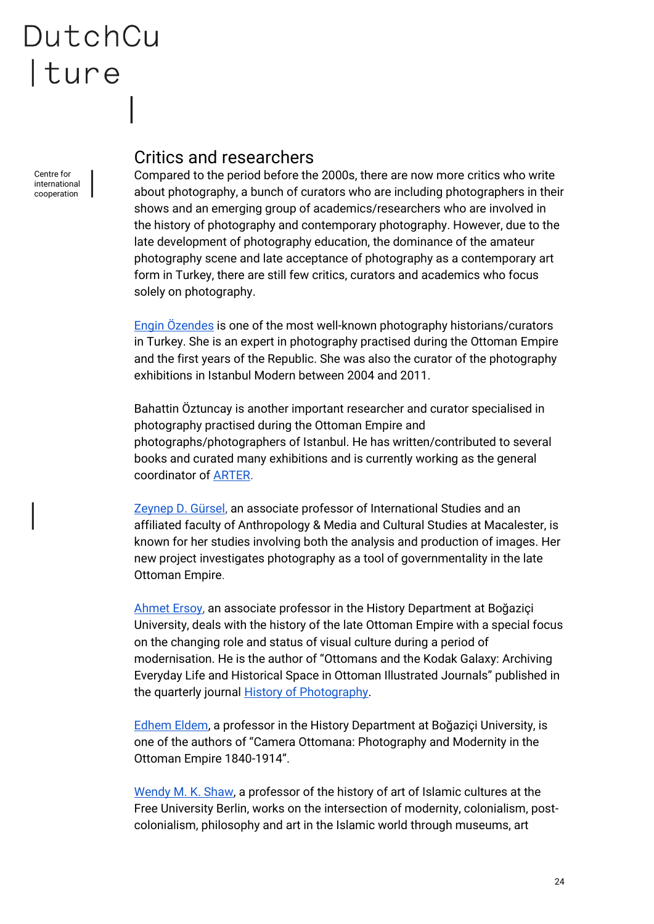Centre for international cooperation

### <span id="page-23-0"></span>Critics and researchers

Compared to the period before the 2000s, there are now more critics who write about photography, a bunch of curators who are including photographers in their shows and an emerging group of academics/researchers who are involved in the history of photography and contemporary photography. However, due to the late development of photography education, the dominance of the amateur photography scene and late acceptance of photography as a contemporary art form in Turkey, there are still few critics, curators and academics who focus solely on photography.

[Engin Özendes](http://www.enginozendes.com/) is one of the most well-known photography historians/curators in Turkey. She is an expert in photography practised during the Ottoman Empire and the first years of the Republic. She was also the curator of the photography exhibitions in Istanbul Modern between 2004 and 2011.

Bahattin Öztuncay is another important researcher and curator specialised in photography practised during the Ottoman Empire and photographs/photographers of Istanbul. He has written/contributed to several books and curated many exhibitions and is currently working as the general coordinator of [ARTER.](http://www.arter.org.tr/)

[Zeynep D. Gürsel,](https://www.macalester.edu/internationalstudies/facultystaff/zeynepgursel/) an associate professor of International Studies and an affiliated faculty of Anthropology & Media and Cultural Studies at Macalester, is known for her studies involving both the analysis and production of images. Her new project investigates photography as a tool of governmentality in the late Ottoman Empire.

[Ahmet Ersoy,](https://boun.academia.edu/AhmetAErsoy) an associate professor in the History Department at Boğaziçi University, deals with the history of the late Ottoman Empire with a special focus on the changing role and status of visual culture during a period of modernisation. He is the author of "Ottomans and the Kodak Galaxy: Archiving Everyday Life and Historical Space in Ottoman Illustrated Journals" published in the quarterly journal [History of Photography.](https://www.tandfonline.com/loi/thph20)

[Edhem Eldem,](https://boun.academia.edu/edhemeldem) a professor in the History Department at Boğaziçi University, is one of the authors of "Camera Ottomana: Photography and Modernity in the Ottoman Empire 1840-1914".

[Wendy M. K. Shaw,](https://exoriente.academia.edu/WendyShaw) a professor of the history of art of Islamic cultures at the Free University Berlin, works on the intersection of modernity, colonialism, postcolonialism, philosophy and art in the Islamic world through museums, art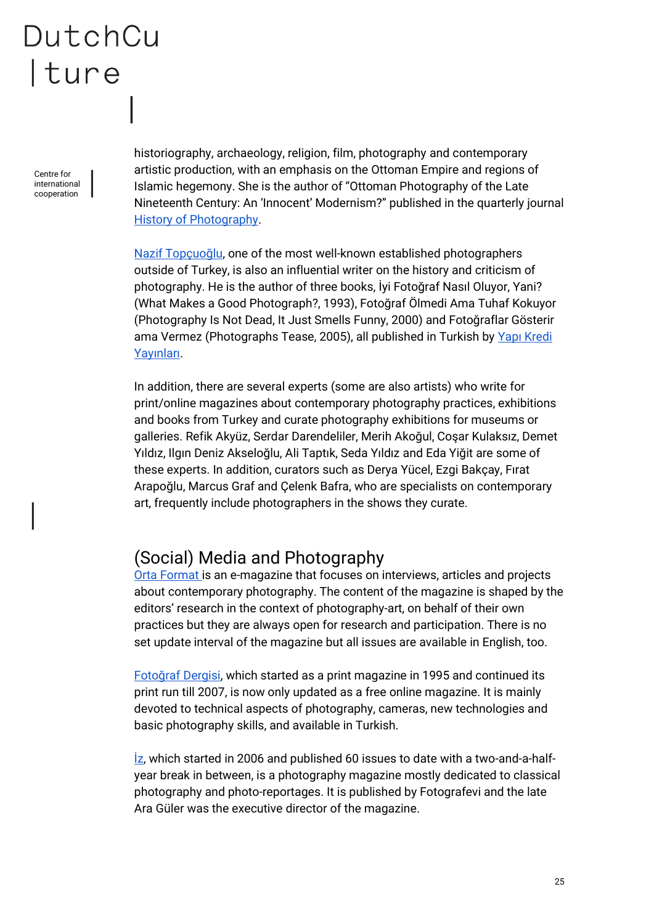Centre for international cooperation

historiography, archaeology, religion, film, photography and contemporary artistic production, with an emphasis on the Ottoman Empire and regions of Islamic hegemony. She is the author of "Ottoman Photography of the Late Nineteenth Century: An 'Innocent' Modernism?" published in the quarterly journal [History of Photography.](https://www.tandfonline.com/loi/thph20)

[Nazif Topçuoğlu](http://naziftopcuoglu.com/), one of the most well-known established photographers outside of Turkey, is also an influential writer on the history and criticism of photography. He is the author of three books, İyi Fotoğraf Nasıl Oluyor, Yani? (What Makes a Good Photograph?, 1993), Fotoğraf Ölmedi Ama Tuhaf Kokuyor (Photography Is Not Dead, It Just Smells Funny, 2000) and Fotoğraflar Gösterir ama Vermez (Photographs Tease, 2005), all published in Turkish by [Yapı Kredi](http://kitap.ykykultur.com.tr/yazarlar/nazif-topcuoglu)  [Yayınları](http://kitap.ykykultur.com.tr/yazarlar/nazif-topcuoglu).

In addition, there are several experts (some are also artists) who write for print/online magazines about contemporary photography practices, exhibitions and books from Turkey and curate photography exhibitions for museums or galleries. Refik Akyüz, Serdar Darendeliler, Merih Akoğul, Coşar Kulaksız, Demet Yıldız, Ilgın Deniz Akseloğlu, Ali Taptık, Seda Yıldız and Eda Yiğit are some of these experts. In addition, curators such as Derya Yücel, Ezgi Bakçay, Fırat Arapoğlu, Marcus Graf and Çelenk Bafra, who are specialists on contemporary art, frequently include photographers in the shows they curate.

### <span id="page-24-0"></span>(Social) Media and Photography

[Orta Format i](http://www.ortaformat.org/tr)s an e-magazine that focuses on interviews, articles and projects about contemporary photography. The content of the magazine is shaped by the editors' research in the context of photography-art, on behalf of their own practices but they are always open for research and participation. There is no set update interval of the magazine but all issues are available in English, too.

[Fotoğraf Dergisi](http://www.fotografdergisi.com/), which started as a print magazine in 1995 and continued its print run till 2007, is now only updated as a free online magazine. It is mainly devoted to technical aspects of photography, cameras, new technologies and basic photography skills, and available in Turkish.

 $\overline{z}$ , which started in 2006 and published 60 issues to date with a two-and-a-halfyear break in between, is a photography magazine mostly dedicated to classical photography and photo-reportages. It is published by Fotografevi and the late Ara Güler was the executive director of the magazine.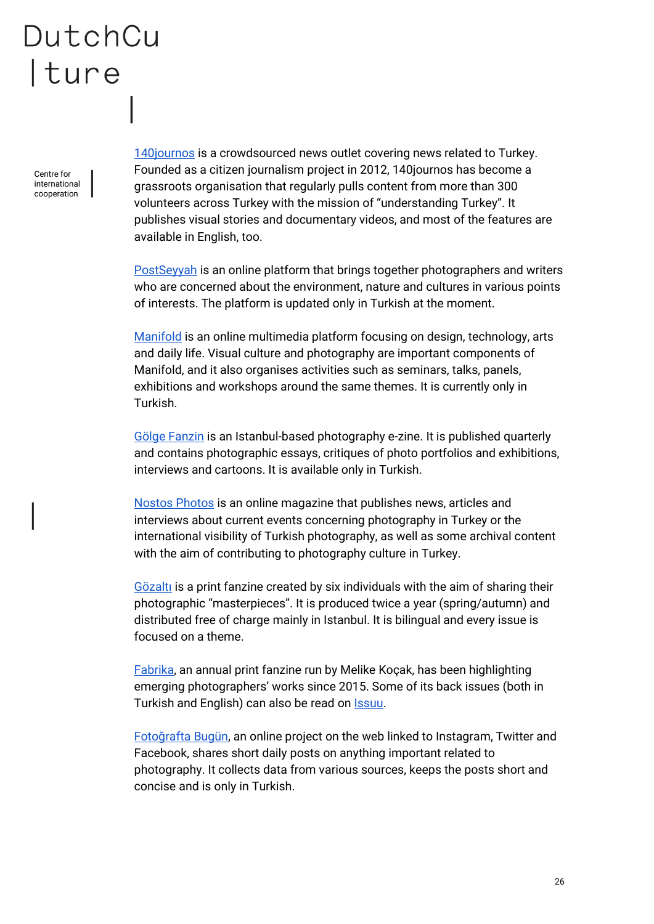Centre for international cooperation [140journos](https://140journos.com/) is a crowdsourced news outlet covering news related to Turkey. Founded as a citizen journalism project in 2012, 140journos has become a grassroots organisation that regularly pulls content from more than 300 volunteers across Turkey with the mission of "understanding Turkey". It publishes visual stories and documentary videos, and most of the features are available in English, too.

[PostSeyyah](http://www.postseyyah.com/) is an online platform that brings together photographers and writers who are concerned about the environment, nature and cultures in various points of interests. The platform is updated only in Turkish at the moment.

[Manifold](https://manifold.press/) is an online multimedia platform focusing on design, technology, arts and daily life. Visual culture and photography are important components of Manifold, and it also organises activities such as seminars, talks, panels, exhibitions and workshops around the same themes. It is currently only in Turkish.

[Gölge Fanzin](http://www.golgefanzin.com/?fbclid=IwAR36u7dL1StkE0hlS68dX1DmEAdnrUGZZIToQoCJIR1kESZ0dNSQAleHsDA) is an Istanbul-based photography e-zine. It is published quarterly and contains photographic essays, critiques of photo portfolios and exhibitions, interviews and cartoons. It is available only in Turkish.

[Nostos Photos](http://www.nostosphotos.com/) is an online magazine that publishes news, articles and interviews about current events concerning photography in Turkey or the international visibility of Turkish photography, as well as some archival content with the aim of contributing to photography culture in Turkey.

[Gözaltı](https://www.facebook.com/gozaltifanzin/) is a print fanzine created by six individuals with the aim of sharing their photographic "masterpieces". It is produced twice a year (spring/autumn) and distributed free of charge mainly in Istanbul. It is bilingual and every issue is focused on a theme.

[Fabrika,](https://www.instagram.com/fabrikazine/) an annual print fanzine run by Melike Koçak, has been highlighting emerging photographers' works since 2015. Some of its back issues (both in Turkish and English) can also be read on **Issuu**.

[Fotoğrafta Bugün](http://fotograftabugun.com/), an online project on the web linked to Instagram, Twitter and Facebook, shares short daily posts on anything important related to photography. It collects data from various sources, keeps the posts short and concise and is only in Turkish.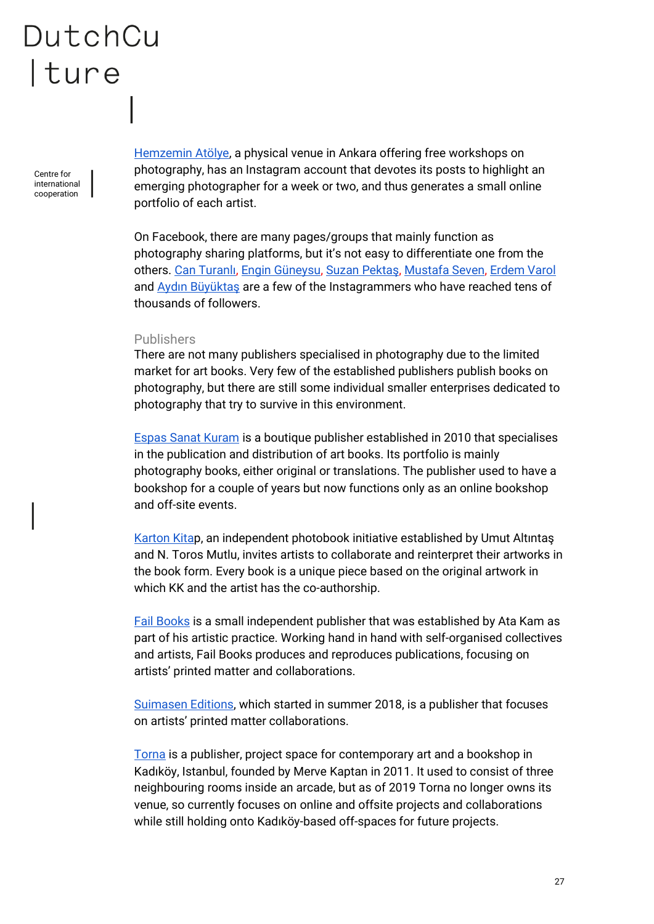Centre for international cooperation

[Hemzemin Atölye,](https://www.instagram.com/hemzeminatolye/?hl=en) a physical venue in Ankara offering free workshops on photography, has an Instagram account that devotes its posts to highlight an emerging photographer for a week or two, and thus generates a small online portfolio of each artist.

On Facebook, there are many pages/groups that mainly function as photography sharing platforms, but it's not easy to differentiate one from the others. [Can Turanlı](https://www.instagram.com/cturanli/?hl=en)[, Engin Güneysu,](https://www.instagram.com/enginguneysu/?hl=en) [Suzan Pektaş](https://www.instagram.com/sznpkt/?hl=en), [Mustafa Seven,](https://www.instagram.com/mustafaseven/?hl=en) [Erdem Varol](https://www.instagram.com/erdemvaroll/?hl=en) and [Aydın Büyüktaş](https://www.instagram.com/aydinbuyuktas/?hl=en) are a few of the Instagrammers who have reached tens of thousands of followers.

#### <span id="page-26-0"></span>Publishers

There are not many publishers specialised in photography due to the limited market for art books. Very few of the established publishers publish books on photography, but there are still some individual smaller enterprises dedicated to photography that try to survive in this environment.

[Espas Sanat Kuram](http://www.espaskitap.com/#EspasYayinlari) is a boutique publisher established in 2010 that specialises in the publication and distribution of art books. Its portfolio is mainly photography books, either original or translations. The publisher used to have a bookshop for a couple of years but now functions only as an online bookshop and off-site events.

[Karton Kitap](http://www.kartonkitap.com/), an independent photobook initiative established by Umut Altıntaş and N. Toros Mutlu, invites artists to collaborate and reinterpret their artworks in the book form. Every book is a unique piece based on the original artwork in which KK and the artist has the co-authorship.

[Fail Books](https://www.instagram.com/fail.books/) is a small independent publisher that was established by Ata Kam as part of his artistic practice. Working hand in hand with self-organised collectives and artists, Fail Books produces and reproduces publications, focusing on artists' printed matter and collaborations.

[Suimasen Editions,](https://www.facebook.com/suimasenturkey/) which started in summer 2018, is a publisher that focuses on artists' printed matter collaborations.

[Torna](http://www.tornaistanbul.com/news.html) is a publisher, project space for contemporary art and a bookshop in Kadıköy, Istanbul, founded by Merve Kaptan in 2011. It used to consist of three neighbouring rooms inside an arcade, but as of 2019 Torna no longer owns its venue, so currently focuses on online and offsite projects and collaborations while still holding onto Kadıköy-based off-spaces for future projects.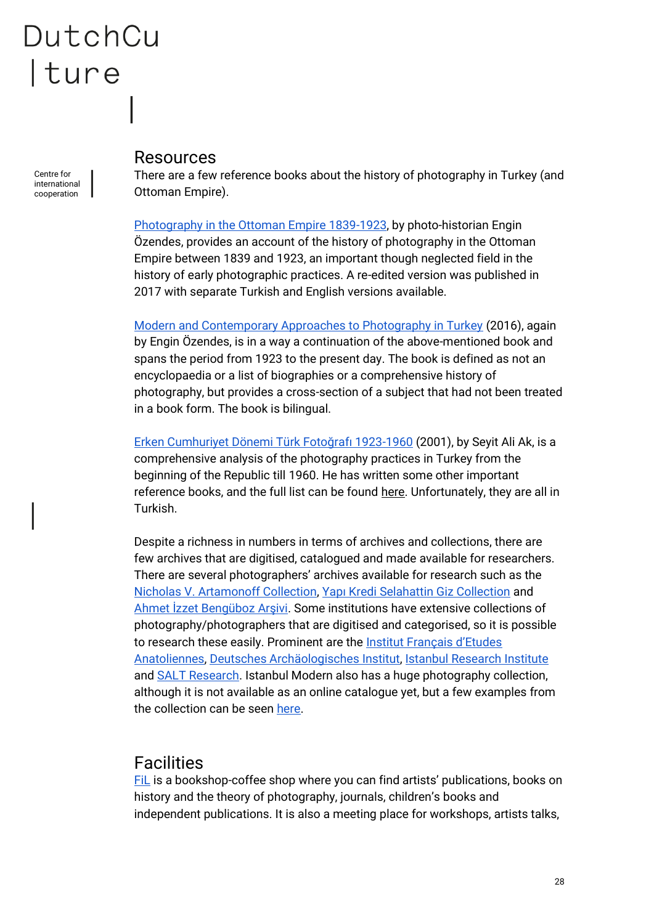Centre for international cooperation

#### <span id="page-27-0"></span>Resources

There are a few reference books about the history of photography in Turkey (and Ottoman Empire).

[Photography in the Ottoman Empire 1839-1923,](https://www.yemkitabevi.com/osmanli-imparatorlugunda-fotografcilik-1839-1923) by photo-historian Engin Özendes, provides an account of the history of photography in the Ottoman Empire between 1839 and 1923, an important though neglected field in the history of early photographic practices. A re-edited version was published in 2017 with separate Turkish and English versions available.

[Modern and Contemporary Approaches to Photography in Turkey](https://www.yemkitabevi.com/turkiyede-fotografa-modern-ve-cagdas-yaklasimlar) (2016), again by Engin Özendes, is in a way a continuation of the above-mentioned book and spans the period from 1923 to the present day. The book is defined as not an encyclopaedia or a list of biographies or a comprehensive history of photography, but provides a cross-section of a subject that had not been treated in a book form. The book is bilingual.

[Erken Cumhuriyet Dönemi Türk Fotoğrafı 1923](http://www.seyitaliak.com/Kitaplar/ErkenCumhuriyetDonemiTurkFotografi.html)-1960 (2001), by Seyit Ali Ak, is a comprehensive analysis of the photography practices in Turkey from the beginning of the Republic till 1960. He has written some other important reference books, and the full list can be found [here.](http://www.seyitaliak.com/Kitaplar/index.html) Unfortunately, they are all in Turkish.

Despite a richness in numbers in terms of archives and collections, there are few archives that are digitised, catalogued and made available for researchers. There are several photographers' archives available for research such as the [Nicholas V. Artamonoff Collection,](http://images.doaks.org/artamonoff/) [Yapı Kredi Selahattin Giz Collection](http://www.yapikredikss.com.tr/yapi-kredi-koleksiyonlari/selahattin-giz-fotograflari/) and Ahme[t İzzet Bengüboz Arşivi](http://www.mudurnukentarsivi.org/collections/show/1). Some institutions have extensive collections of photography/photographers that are digitised and categorised, so it is possible to research these easily. Prominent are the [Institut Français d'Etudes](http://archivis.ifea-istanbul.net/s/en/page/welcome)  [Anatoliennes,](http://archivis.ifea-istanbul.net/s/en/page/welcome) [Deutsches Archäologisches Institut,](https://www.dainst.org/dai/meldungen) [Istanbul Research Institute](https://www.iae.org.tr/) and [SALT Research.](https://www.archives.saltresearch.org/R/7B2R3MJ7C3Q8MY4MKFBKP1NR2NK618TGEPA29QR7QG2U4J9JUM-00785?func=search) Istanbul Modern also has a huge photography collection, although it is not available as an online catalogue yet, but a few examples from the collection can be seen [here.](https://www.istanbulmodern.org/en/collection/photography-collection/36?t=1)

### <span id="page-27-1"></span>Facilities

[FiL](http://www.filbooks.net/about) is a bookshop-coffee shop where you can find artists' publications, books on history and the theory of photography, journals, children's books and independent publications. It is also a meeting place for workshops, artists talks,